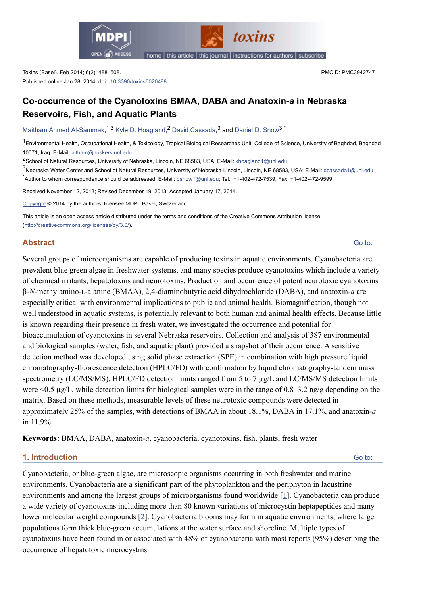

toxins

home | this article | this journal | instructions for authors | subscribe

Toxins (Basel). Feb 2014; 6(2): 488–508. Published online Jan 28, 2014. doi: [10.3390/toxins6020488](http://dx.doi.org/10.3390%2Ftoxins6020488) PMCID: PMC3942747

# **Co-occurrence of the Cyanotoxins BMAA, DABA and Anatoxin-***a* **in Nebraska Reservoirs, Fish, and Aquatic Plants**

[Maitham Ahmed Al-Sammak,](http://www.ncbi.nlm.nih.gov/pubmed/?term=Al-Sammak%20MA%5Bauth%5D)<sup>1,3</sup> [Kyle D. Hoagland,](http://www.ncbi.nlm.nih.gov/pubmed/?term=Hoagland%20KD%5Bauth%5D)<sup>2</sup> [David Cassada](http://www.ncbi.nlm.nih.gov/pubmed/?term=Cassada%20D%5Bauth%5D),<sup>3</sup> and [Daniel D. Snow](http://www.ncbi.nlm.nih.gov/pubmed/?term=Snow%20DD%5Bauth%5D)<sup>3,\*</sup>

<sup>1</sup> Environmental Health, Occupational Health, & Toxicology, Tropical Biological Researches Unit, College of Science, University of Baghdad, Baghdad 10071, Iraq; E-Mail: [aitham@huskers.unl.edu](mailto:dev@null)

2<br><sup>2</sup> School of Natural Resources, University of Nebraska, Lincoln, NE 68583, USA; E-Mail: <u>khoagland1@unl.edu</u>

<sup>3</sup>Nebraska Water Center and School of Natural Resources, University of Nebraska-Lincoln, Lincoln, NE 68583, USA; E-Mail: <u>[dcassada1@unl.edu](mailto:dev@null)</u>

\*<br>Author to whom correspondence should be addressed: E-Mail: <u>dsnow1@unl.edu</u>; Tel.: +1-402-472-7539; Fax: +1-402-472-9599.

Received November 12, 2013; Revised December 19, 2013; Accepted January 17, 2014.

[Copyright](http://www.ncbi.nlm.nih.gov/pmc/about/copyright.html) © 2014 by the authors; licensee MDPI, Basel, Switzerland.

This article is an open access article distributed under the terms and conditions of the Creative Commons Attribution license [\(http://creativecommons.org/licenses/by/3.0/\)](http://creativecommons.org/licenses/by/3.0/).

## **Abstract**

[Go to:](http://www.ncbi.nlm.nih.gov/pmc/articles/PMC3942747/#)

Several groups of microorganisms are capable of producing toxins in aquatic environments. Cyanobacteria are prevalent blue green algae in freshwater systems, and many species produce cyanotoxins which include a variety of chemical irritants, hepatotoxins and neurotoxins. Production and occurrence of potent neurotoxic cyanotoxins β-*N*-methylamino-L-alanine (BMAA), 2,4-diaminobutyric acid dihydrochloride (DABA), and anatoxin-*a* are especially critical with environmental implications to public and animal health. Biomagnification, though not well understood in aquatic systems, is potentially relevant to both human and animal health effects. Because little is known regarding their presence in fresh water, we investigated the occurrence and potential for bioaccumulation of cyanotoxins in several Nebraska reservoirs. Collection and analysis of 387 environmental and biological samples (water, fish, and aquatic plant) provided a snapshot of their occurrence. A sensitive detection method was developed using solid phase extraction (SPE) in combination with high pressure liquid chromatography-fluorescence detection (HPLC/FD) with confirmation by liquid chromatography-tandem mass spectrometry (LC/MS/MS). HPLC/FD detection limits ranged from 5 to 7 µg/L and LC/MS/MS detection limits were <0.5 µg/L, while detection limits for biological samples were in the range of 0.8–3.2 ng/g depending on the matrix. Based on these methods, measurable levels of these neurotoxic compounds were detected in approximately 25% of the samples, with detections of BMAA in about 18.1%, DABA in 17.1%, and anatoxin-*a* in 11.9%.

**Keywords:** BMAA, DABA, anatoxin-*a*, cyanobacteria, cyanotoxins, fish, plants, fresh water

## **1. Introduction**

[Go to:](http://www.ncbi.nlm.nih.gov/pmc/articles/PMC3942747/#)

Cyanobacteria, or blue-green algae, are microscopic organisms occurring in both freshwater and marine environments. Cyanobacteria are a significant part of the phytoplankton and the periphyton in lacustrine environments and among the largest groups of microorganisms found worldwide [[1\]](http://www.ncbi.nlm.nih.gov/pmc/articles/PMC3942747/#B1-toxins-06-00488). Cyanobacteria can produce a wide variety of cyanotoxins including more than 80 known variations of microcystin heptapeptides and many lower molecular weight compounds [\[2\]](http://www.ncbi.nlm.nih.gov/pmc/articles/PMC3942747/#B2-toxins-06-00488). Cyanobacteria blooms may form in aquatic environments, where large populations form thick blue-green accumulations at the water surface and shoreline. Multiple types of cyanotoxins have been found in or associated with 48% of cyanobacteria with most reports (95%) describing the occurrence of hepatotoxic microcystins.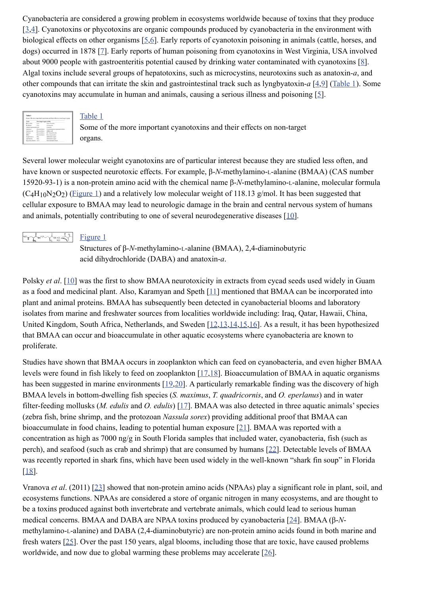Cyanobacteria are considered a growing problem in ecosystems worldwide because of toxins that they produce [\[3,](http://www.ncbi.nlm.nih.gov/pmc/articles/PMC3942747/#B3-toxins-06-00488)[4\]](http://www.ncbi.nlm.nih.gov/pmc/articles/PMC3942747/#B4-toxins-06-00488). Cyanotoxins or phycotoxins are organic compounds produced by cyanobacteria in the environment with biological effects on other organisms [[5,](http://www.ncbi.nlm.nih.gov/pmc/articles/PMC3942747/#B5-toxins-06-00488)[6\]](http://www.ncbi.nlm.nih.gov/pmc/articles/PMC3942747/#B6-toxins-06-00488). Early reports of cyanotoxin poisoning in animals (cattle, horses, and dogs) occurred in 1878 [[7\]](http://www.ncbi.nlm.nih.gov/pmc/articles/PMC3942747/#B7-toxins-06-00488). Early reports of human poisoning from cyanotoxins in West Virginia, USA involved about 9000 people with gastroenteritis potential caused by drinking water contaminated with cyanotoxins [\[8\]](http://www.ncbi.nlm.nih.gov/pmc/articles/PMC3942747/#B8-toxins-06-00488). Algal toxins include several groups of hepatotoxins, such as microcystins, neurotoxins such as anatoxin*-a*, and other compounds that can irritate the skin and gastrointestinal track such as lyngbyatoxin-*a* [\[4](http://www.ncbi.nlm.nih.gov/pmc/articles/PMC3942747/#B4-toxins-06-00488)[,9\]](http://www.ncbi.nlm.nih.gov/pmc/articles/PMC3942747/#B9-toxins-06-00488) [\(Table 1\)](http://www.ncbi.nlm.nih.gov/pmc/articles/PMC3942747/table/toxins-06-00488-t001/). Some cyanotoxins may accumulate in human and animals, causing a serious illness and poisoning [[5\]](http://www.ncbi.nlm.nih.gov/pmc/articles/PMC3942747/#B5-toxins-06-00488).

| Table 1                |                           |                                                                                |
|------------------------|---------------------------|--------------------------------------------------------------------------------|
|                        |                           | Some of the more important coanstoxins and their effects on non-turnst organs. |
|                        |                           |                                                                                |
| <b>Youte</b>           | Non-target organ Activity |                                                                                |
| Mercureties            | Lion                      | Tomor Prompture                                                                |
| Nobleton               | <b>Liver</b>              | Contenente                                                                     |
| Ofishmapernopsis (Jeer |                           | Grandonic                                                                      |
| <b>Andrewing</b>       | Nervous Sonem             | Depolarizing neuromacular blockers                                             |
| Anatomie a (x)         | Nervous Sodem             | biblics ArM.                                                                   |
| Saskock                | Moreona Sodem.            | No" channel blocker                                                            |
| <b>EBOLS</b>           | Nervous Sodem             | Newsburneration                                                                |
| Longbomode.g           | <b>Skin</b>               | Infammetory agent                                                              |
| Ashriday in            | Skin                      | Informatory aprel                                                              |
| Lisopolnacchank GLY    |                           | Control et of oul industry                                                     |

#### [Table 1](http://www.ncbi.nlm.nih.gov/pmc/articles/PMC3942747/table/toxins-06-00488-t001/)

Some of the more important cyanotoxins and their effects on non-target organs.

Several lower molecular weight cyanotoxins are of particular interest because they are studied less often, and have known or suspected neurotoxic effects. For example, β-*N*-methylamino-L-alanine (BMAA) (CAS number 15920-93-1) is a non-protein amino acid with the chemical name β-*N*-methylamino-L-alanine, molecular formula  $(C_4H_{10}N_2O_2)$  [\(Figure 1\)](http://www.ncbi.nlm.nih.gov/pmc/articles/PMC3942747/figure/toxins-06-00488-f001/) and a relatively low molecular weight of 118.13 g/mol. It has been suggested that cellular exposure to BMAA may lead to neurologic damage in the brain and central nervous system of humans and animals, potentially contributing to one of several neurodegenerative diseases [\[10](http://www.ncbi.nlm.nih.gov/pmc/articles/PMC3942747/#B10-toxins-06-00488)].



Structures of β-*N*-methylamino-L-alanine (BMAA), 2,4-diaminobutyric acid dihydrochloride (DABA) and anatoxin-*a*.

Polsky *et al.* [\[10](http://www.ncbi.nlm.nih.gov/pmc/articles/PMC3942747/#B10-toxins-06-00488)] was the first to show BMAA neurotoxicity in extracts from cycad seeds used widely in Guam as a food and medicinal plant. Also, Karamyan and Speth [\[11\]](http://www.ncbi.nlm.nih.gov/pmc/articles/PMC3942747/#B11-toxins-06-00488) mentioned that BMAA can be incorporated into plant and animal proteins. BMAA has subsequently been detected in cyanobacterial blooms and laboratory isolates from marine and freshwater sources from localities worldwide including: Iraq, Qatar, Hawaii, China, United Kingdom, South Africa, Netherlands, and Sweden [\[12](http://www.ncbi.nlm.nih.gov/pmc/articles/PMC3942747/#B12-toxins-06-00488)[,13](http://www.ncbi.nlm.nih.gov/pmc/articles/PMC3942747/#B13-toxins-06-00488)[,14](http://www.ncbi.nlm.nih.gov/pmc/articles/PMC3942747/#B14-toxins-06-00488)[,15](http://www.ncbi.nlm.nih.gov/pmc/articles/PMC3942747/#B15-toxins-06-00488)[,16\]](http://www.ncbi.nlm.nih.gov/pmc/articles/PMC3942747/#B16-toxins-06-00488). As a result, it has been hypothesized that BMAA can occur and bioaccumulate in other aquatic ecosystems where cyanobacteria are known to proliferate.

Studies have shown that BMAA occurs in zooplankton which can feed on cyanobacteria, and even higher BMAA levels were found in fish likely to feed on zooplankton [[17,](http://www.ncbi.nlm.nih.gov/pmc/articles/PMC3942747/#B17-toxins-06-00488)[18\]](http://www.ncbi.nlm.nih.gov/pmc/articles/PMC3942747/#B18-toxins-06-00488). Bioaccumulation of BMAA in aquatic organisms has been suggested in marine environments [\[19,](http://www.ncbi.nlm.nih.gov/pmc/articles/PMC3942747/#B19-toxins-06-00488)[20](http://www.ncbi.nlm.nih.gov/pmc/articles/PMC3942747/#B20-toxins-06-00488)]. A particularly remarkable finding was the discovery of high BMAA levels in bottom-dwelling fish species (*S. maximus*, *T. quadricornis*, and *O. eperlanus*) and in water filter-feeding mollusks (*M. edulis* and *O. edulis*) [\[17\]](http://www.ncbi.nlm.nih.gov/pmc/articles/PMC3942747/#B17-toxins-06-00488). BMAA was also detected in three aquatic animals' species (zebra fish, brine shrimp, and the protozoan *Nassula sorex*) providing additional proof that BMAA can bioaccumulate in food chains, leading to potential human exposure [\[21\]](http://www.ncbi.nlm.nih.gov/pmc/articles/PMC3942747/#B21-toxins-06-00488). BMAA was reported with a concentration as high as 7000 ng/g in South Florida samples that included water, cyanobacteria, fish (such as perch), and seafood (such as crab and shrimp) that are consumed by humans [\[22](http://www.ncbi.nlm.nih.gov/pmc/articles/PMC3942747/#B22-toxins-06-00488)]. Detectable levels of BMAA was recently reported in shark fins, which have been used widely in the well-known "shark fin soup" in Florida [\[18\]](http://www.ncbi.nlm.nih.gov/pmc/articles/PMC3942747/#B18-toxins-06-00488).

Vranova *et al*. (2011) [\[23\]](http://www.ncbi.nlm.nih.gov/pmc/articles/PMC3942747/#B23-toxins-06-00488) showed that non-protein amino acids (NPAAs) play a significant role in plant, soil, and ecosystems functions. NPAAs are considered a store of organic nitrogen in many ecosystems, and are thought to be a toxins produced against both invertebrate and vertebrate animals, which could lead to serious human medical concerns. BMAA and DABA are NPAA toxins produced by cyanobacteria [\[24\]](http://www.ncbi.nlm.nih.gov/pmc/articles/PMC3942747/#B24-toxins-06-00488). BMAA (β-*N*methylamino-L-alanine) and DABA (2,4-diaminobutyric) are non-protein amino acids found in both marine and fresh waters [[25\]](http://www.ncbi.nlm.nih.gov/pmc/articles/PMC3942747/#B25-toxins-06-00488). Over the past 150 years, algal blooms, including those that are toxic, have caused problems worldwide, and now due to global warming these problems may accelerate [\[26\]](http://www.ncbi.nlm.nih.gov/pmc/articles/PMC3942747/#B26-toxins-06-00488).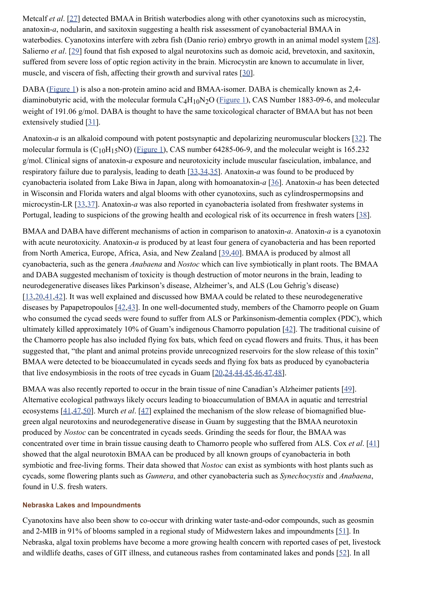Metcalf *et al*. [\[27\]](http://www.ncbi.nlm.nih.gov/pmc/articles/PMC3942747/#B27-toxins-06-00488) detected BMAA in British waterbodies along with other cyanotoxins such as microcystin, anatoxin-*a*, nodularin, and saxitoxin suggesting a health risk assessment of cyanobacterial BMAA in waterbodies. Cyanotoxins interfere with zebra fish (Danio rerio) embryo growth in an animal model system [\[28\]](http://www.ncbi.nlm.nih.gov/pmc/articles/PMC3942747/#B28-toxins-06-00488). Salierno *et al.* [\[29](http://www.ncbi.nlm.nih.gov/pmc/articles/PMC3942747/#B29-toxins-06-00488)] found that fish exposed to algal neurotoxins such as domoic acid, brevetoxin, and saxitoxin, suffered from severe loss of optic region activity in the brain. Microcystin are known to accumulate in liver, muscle, and viscera of fish, affecting their growth and survival rates [\[30\]](http://www.ncbi.nlm.nih.gov/pmc/articles/PMC3942747/#B30-toxins-06-00488).

DABA ([Figure 1](http://www.ncbi.nlm.nih.gov/pmc/articles/PMC3942747/figure/toxins-06-00488-f001/)) is also a non-protein amino acid and BMAA-isomer. DABA is chemically known as 2,4 diaminobutyric acid, with the molecular formula  $C_4H_{10}N_2O$  (*Figure 1*), CAS Number 1883-09-6, and molecular weight of 191.06 g/mol. DABA is thought to have the same toxicological character of BMAA but has not been extensively studied [\[31\]](http://www.ncbi.nlm.nih.gov/pmc/articles/PMC3942747/#B31-toxins-06-00488).

Anatoxin-*a* is an alkaloid compound with potent postsynaptic and depolarizing neuromuscular blockers [\[32\]](http://www.ncbi.nlm.nih.gov/pmc/articles/PMC3942747/#B32-toxins-06-00488). The molecular formula is  $(C_{10}H_{15}NO)$  (*Figure 1*), CAS number 64285-06-9, and the molecular weight is 165.232 g/mol. Clinical signs of anatoxin-*a* exposure and neurotoxicity include muscular fasciculation, imbalance, and respiratory failure due to paralysis, leading to death [\[33](http://www.ncbi.nlm.nih.gov/pmc/articles/PMC3942747/#B33-toxins-06-00488)[,34](http://www.ncbi.nlm.nih.gov/pmc/articles/PMC3942747/#B34-toxins-06-00488)[,35](http://www.ncbi.nlm.nih.gov/pmc/articles/PMC3942747/#B35-toxins-06-00488)]. Anatoxin-*a* was found to be produced by cyanobacteria isolated from Lake Biwa in Japan, along with homoanatoxin-*a* [\[36\]](http://www.ncbi.nlm.nih.gov/pmc/articles/PMC3942747/#B36-toxins-06-00488). Anatoxin-*a* has been detected in Wisconsin and Florida waters and algal blooms with other cyanotoxins, such as cylindrospermopsins and microcystin-LR [\[33,](http://www.ncbi.nlm.nih.gov/pmc/articles/PMC3942747/#B33-toxins-06-00488)[37\]](http://www.ncbi.nlm.nih.gov/pmc/articles/PMC3942747/#B37-toxins-06-00488). Anatoxin-*a* was also reported in cyanobacteria isolated from freshwater systems in Portugal, leading to suspicions of the growing health and ecological risk of its occurrence in fresh waters [\[38](http://www.ncbi.nlm.nih.gov/pmc/articles/PMC3942747/#B38-toxins-06-00488)].

BMAA and DABA have different mechanisms of action in comparison to anatoxin-*a*. Anatoxin*-a* is a cyanotoxin with acute neurotoxicity. Anatoxin-*a* is produced by at least four genera of cyanobacteria and has been reported from North America, Europe, Africa, Asia, and New Zealand [\[39,](http://www.ncbi.nlm.nih.gov/pmc/articles/PMC3942747/#B39-toxins-06-00488)[40\]](http://www.ncbi.nlm.nih.gov/pmc/articles/PMC3942747/#B40-toxins-06-00488). BMAA is produced by almost all cyanobacteria, such as the genera *Anabaena* and *Nostoc* which can live symbiotically in plant roots. The BMAA and DABA suggested mechanism of toxicity is though destruction of motor neurons in the brain, leading to neurodegenerative diseases likes Parkinson's disease, Alzheimer's, and ALS (Lou Gehrig's disease) [\[13](http://www.ncbi.nlm.nih.gov/pmc/articles/PMC3942747/#B13-toxins-06-00488)[,20](http://www.ncbi.nlm.nih.gov/pmc/articles/PMC3942747/#B20-toxins-06-00488)[,41](http://www.ncbi.nlm.nih.gov/pmc/articles/PMC3942747/#B41-toxins-06-00488)[,42\]](http://www.ncbi.nlm.nih.gov/pmc/articles/PMC3942747/#B42-toxins-06-00488). It was well explained and discussed how BMAA could be related to these neurodegenerative diseases by Papapetropoulos [\[42](http://www.ncbi.nlm.nih.gov/pmc/articles/PMC3942747/#B42-toxins-06-00488)[,43\]](http://www.ncbi.nlm.nih.gov/pmc/articles/PMC3942747/#B43-toxins-06-00488). In one well-documented study, members of the Chamorro people on Guam who consumed the cycad seeds were found to suffer from ALS or Parkinsonism-dementia complex (PDC), which ultimately killed approximately 10% of Guam's indigenous Chamorro population [\[42\]](http://www.ncbi.nlm.nih.gov/pmc/articles/PMC3942747/#B42-toxins-06-00488). The traditional cuisine of the Chamorro people has also included flying fox bats, which feed on cycad flowers and fruits. Thus, it has been suggested that, "the plant and animal proteins provide unrecognized reservoirs for the slow release of this toxin" BMAA were detected to be bioaccumulated in cycads seeds and flying fox bats as produced by cyanobacteria that live endosymbiosis in the roots of tree cycads in Guam [\[20](http://www.ncbi.nlm.nih.gov/pmc/articles/PMC3942747/#B20-toxins-06-00488)[,24](http://www.ncbi.nlm.nih.gov/pmc/articles/PMC3942747/#B24-toxins-06-00488)[,44](http://www.ncbi.nlm.nih.gov/pmc/articles/PMC3942747/#B44-toxins-06-00488)[,45](http://www.ncbi.nlm.nih.gov/pmc/articles/PMC3942747/#B45-toxins-06-00488)[,46](http://www.ncbi.nlm.nih.gov/pmc/articles/PMC3942747/#B46-toxins-06-00488)[,47](http://www.ncbi.nlm.nih.gov/pmc/articles/PMC3942747/#B47-toxins-06-00488)[,48\]](http://www.ncbi.nlm.nih.gov/pmc/articles/PMC3942747/#B48-toxins-06-00488).

BMAA was also recently reported to occur in the brain tissue of nine Canadian's Alzheimer patients [\[49\]](http://www.ncbi.nlm.nih.gov/pmc/articles/PMC3942747/#B49-toxins-06-00488). Alternative ecological pathways likely occurs leading to bioaccumulation of BMAA in aquatic and terrestrial ecosystems [\[41](http://www.ncbi.nlm.nih.gov/pmc/articles/PMC3942747/#B41-toxins-06-00488)[,47](http://www.ncbi.nlm.nih.gov/pmc/articles/PMC3942747/#B47-toxins-06-00488)[,50\]](http://www.ncbi.nlm.nih.gov/pmc/articles/PMC3942747/#B50-toxins-06-00488). Murch *et al*. [\[47\]](http://www.ncbi.nlm.nih.gov/pmc/articles/PMC3942747/#B47-toxins-06-00488) explained the mechanism of the slow release of biomagnified bluegreen algal neurotoxins and neurodegenerative disease in Guam by suggesting that the BMAA neurotoxin produced by *Nostoc* can be concentrated in cycads seeds. Grinding the seeds for flour, the BMAA was concentrated over time in brain tissue causing death to Chamorro people who suffered from ALS. Cox *et al*. [\[41](http://www.ncbi.nlm.nih.gov/pmc/articles/PMC3942747/#B41-toxins-06-00488)] showed that the algal neurotoxin BMAA can be produced by all known groups of cyanobacteria in both symbiotic and free-living forms. Their data showed that *Nostoc* can exist as symbionts with host plants such as cycads, some flowering plants such as *Gunnera*, and other cyanobacteria such as *Synechocystis* and *Anabaena*, found in U.S. fresh waters.

#### **Nebraska Lakes and Impoundments**

Cyanotoxins have also been show to co-occur with drinking water taste-and-odor compounds, such as geosmin and 2-MIB in 91% of blooms sampled in a regional study of Midwestern lakes and impoundments [[51\]](http://www.ncbi.nlm.nih.gov/pmc/articles/PMC3942747/#B51-toxins-06-00488). In Nebraska, algal toxin problems have become a more growing health concern with reported cases of pet, livestock and wildlife deaths, cases of GIT illness, and cutaneous rashes from contaminated lakes and ponds [\[52\]](http://www.ncbi.nlm.nih.gov/pmc/articles/PMC3942747/#B52-toxins-06-00488). In all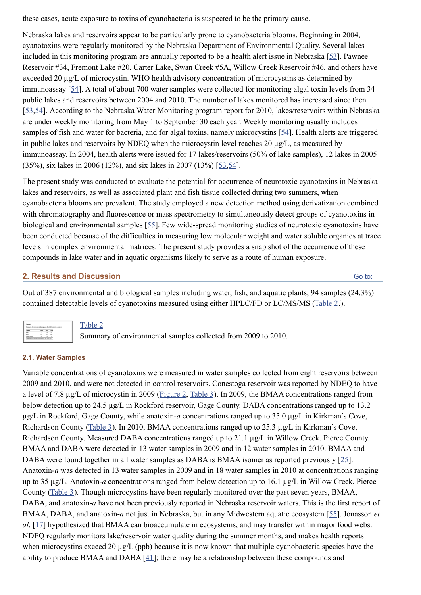these cases, acute exposure to toxins of cyanobacteria is suspected to be the primary cause.

Nebraska lakes and reservoirs appear to be particularly prone to cyanobacteria blooms. Beginning in 2004, cyanotoxins were regularly monitored by the Nebraska Department of Environmental Quality. Several lakes included in this monitoring program are annually reported to be a health alert issue in Nebraska [\[53\]](http://www.ncbi.nlm.nih.gov/pmc/articles/PMC3942747/#B53-toxins-06-00488). Pawnee Reservoir #34, Fremont Lake #20, Carter Lake, Swan Creek #5A, Willow Creek Reservoir #46, and others have exceeded 20 µg/L of microcystin. WHO health advisory concentration of microcystins as determined by immunoassay [\[54\]](http://www.ncbi.nlm.nih.gov/pmc/articles/PMC3942747/#B54-toxins-06-00488). A total of about 700 water samples were collected for monitoring algal toxin levels from 34 public lakes and reservoirs between 2004 and 2010. The number of lakes monitored has increased since then [\[53](http://www.ncbi.nlm.nih.gov/pmc/articles/PMC3942747/#B53-toxins-06-00488)[,54\]](http://www.ncbi.nlm.nih.gov/pmc/articles/PMC3942747/#B54-toxins-06-00488). According to the Nebraska Water Monitoring program report for 2010, lakes/reservoirs within Nebraska are under weekly monitoring from May 1 to September 30 each year. Weekly monitoring usually includes samples of fish and water for bacteria, and for algal toxins, namely microcystins [\[54\]](http://www.ncbi.nlm.nih.gov/pmc/articles/PMC3942747/#B54-toxins-06-00488). Health alerts are triggered in public lakes and reservoirs by NDEQ when the microcystin level reaches 20 µg/L, as measured by immunoassay. In 2004, health alerts were issued for 17 lakes/reservoirs (50% of lake samples), 12 lakes in 2005 (35%), six lakes in 2006 (12%), and six lakes in 2007 (13%) [\[53,](http://www.ncbi.nlm.nih.gov/pmc/articles/PMC3942747/#B53-toxins-06-00488)[54\]](http://www.ncbi.nlm.nih.gov/pmc/articles/PMC3942747/#B54-toxins-06-00488).

The present study was conducted to evaluate the potential for occurrence of neurotoxic cyanotoxins in Nebraska lakes and reservoirs, as well as associated plant and fish tissue collected during two summers, when cyanobacteria blooms are prevalent. The study employed a new detection method using derivatization combined with chromatography and fluorescence or mass spectrometry to simultaneously detect groups of cyanotoxins in biological and environmental samples [\[55\]](http://www.ncbi.nlm.nih.gov/pmc/articles/PMC3942747/#B55-toxins-06-00488). Few wide-spread monitoring studies of neurotoxic cyanotoxins have been conducted because of the difficulties in measuring low molecular weight and water soluble organics at trace levels in complex environmental matrices. The present study provides a snap shot of the occurrence of these compounds in lake water and in aquatic organisms likely to serve as a route of human exposure.

## **2. Results and Discussion**

Out of 387 environmental and biological samples including water, fish, and aquatic plants, 94 samples (24.3%) contained detectable levels of cyanotoxins measured using either HPLC/FD or LC/MS/MS [\(Table 2](http://www.ncbi.nlm.nih.gov/pmc/articles/PMC3942747/table/toxins-06-00488-t002/).).

[Go to:](http://www.ncbi.nlm.nih.gov/pmc/articles/PMC3942747/#)

[Table 2](http://www.ncbi.nlm.nih.gov/pmc/articles/PMC3942747/table/toxins-06-00488-t002/)

Summary of environmental samples collected from 2009 to 2010.

## **2.1. Water Samples**

Variable concentrations of cyanotoxins were measured in water samples collected from eight reservoirs between 2009 and 2010, and were not detected in control reservoirs. Conestoga reservoir was reported by NDEQ to have a level of 7.8 µg/L of microcystin in 2009 ([Figure 2](http://www.ncbi.nlm.nih.gov/pmc/articles/PMC3942747/figure/toxins-06-00488-f002/), [Table 3\)](http://www.ncbi.nlm.nih.gov/pmc/articles/PMC3942747/table/toxins-06-00488-t003/). In 2009, the BMAA concentrations ranged from below detection up to 24.5 µg/L in Rockford reservoir, Gage County. DABA concentrations ranged up to 13.2 µg/L in Rockford, Gage County, while anatoxin-*a* concentrations ranged up to 35.0 µg/L in Kirkman's Cove, Richardson County [\(Table 3\)](http://www.ncbi.nlm.nih.gov/pmc/articles/PMC3942747/table/toxins-06-00488-t003/). In 2010, BMAA concentrations ranged up to 25.3 µg/L in Kirkman's Cove, Richardson County. Measured DABA concentrations ranged up to 21.1 µg/L in Willow Creek, Pierce County. BMAA and DABA were detected in 13 water samples in 2009 and in 12 water samples in 2010. BMAA and DABA were found together in all water samples as DABA is BMAA isomer as reported previously [[25\]](http://www.ncbi.nlm.nih.gov/pmc/articles/PMC3942747/#B25-toxins-06-00488). Anatoxin-*a* was detected in 13 water samples in 2009 and in 18 water samples in 2010 at concentrations ranging up to 35 µg/L. Anatoxin-*a* concentrations ranged from below detection up to 16.1 µg/L in Willow Creek, Pierce County [\(Table 3\)](http://www.ncbi.nlm.nih.gov/pmc/articles/PMC3942747/table/toxins-06-00488-t003/). Though microcystins have been regularly monitored over the past seven years, BMAA, DABA, and anatoxin-*a* have not been previously reported in Nebraska reservoir waters. This is the first report of BMAA, DABA, and anatoxin-*a* not just in Nebraska, but in any Midwestern aquatic ecosystem [\[55\]](http://www.ncbi.nlm.nih.gov/pmc/articles/PMC3942747/#B55-toxins-06-00488). Jonasson *et al*. [\[17](http://www.ncbi.nlm.nih.gov/pmc/articles/PMC3942747/#B17-toxins-06-00488)] hypothesized that BMAA can bioaccumulate in ecosystems, and may transfer within major food webs. NDEQ regularly monitors lake/reservoir water quality during the summer months, and makes health reports when microcystins exceed 20  $\mu$ g/L (ppb) because it is now known that multiple cyanobacteria species have the ability to produce BMAA and DABA  $[41]$  $[41]$ ; there may be a relationship between these compounds and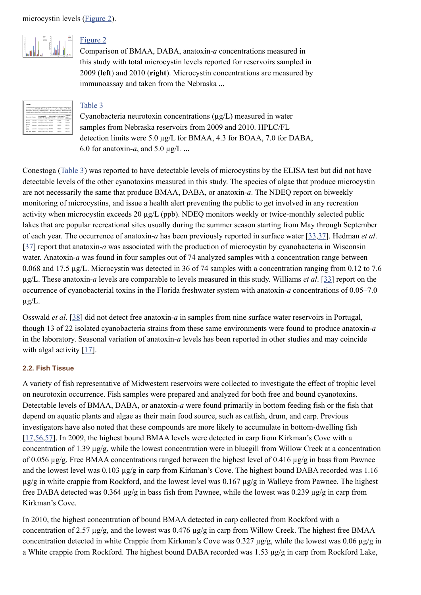



## [Figure 2](http://www.ncbi.nlm.nih.gov/pmc/articles/PMC3942747/figure/toxins-06-00488-f002/)

Comparison of BMAA, DABA, anatoxin-*a* concentrations measured in this study with total microcystin levels reported for reservoirs sampled in 2009 (**left**) and 2010 (**right**). Microcystin concentrations are measured by immunoassay and taken from the Nebraska **...**

| Table 3                |                                                                                                                                                                                                                                                                                                                                      |                                  |                   |                                                           |
|------------------------|--------------------------------------------------------------------------------------------------------------------------------------------------------------------------------------------------------------------------------------------------------------------------------------------------------------------------------------|----------------------------------|-------------------|-----------------------------------------------------------|
|                        | Coanobacteria neurotoxin concentrations (ag/L) measured in water samples from<br>2009 and 2010. HPLC/FL detection limits were 5.0 an/L for BMAS, 4.3 for BOAS.<br>anatoxin-a, and x-n ag/i, for microcratin 7. ND = Not Detected: 7 Microcratin com-<br>Abrazis ELISA method are from the Nebraska Department of Environmental Quali |                                  |                   |                                                           |
| <b>Bourrook County</b> | <b>Buttern numpled</b><br>(samber of samples) poon/preo-                                                                                                                                                                                                                                                                             | <b>EMAN Graff.)</b> DARK Graff.) | <b>EOOQ</b> /goos | <b><i><u>Spatialized</u></i></b><br>Text T.J.<br>pocu'zes |
| <b>Hubara</b>          | Leaseder a newburst Auctio Auction                                                                                                                                                                                                                                                                                                   |                                  | 6.6/80            | 14/80                                                     |
| Paymer                 | Lawyer workspiel/knowled weight                                                                                                                                                                                                                                                                                                      |                                  | $m = 200$         | teators                                                   |
| <b>Wagon</b><br>Train  | Lancaster solicated in phone 1970 ND                                                                                                                                                                                                                                                                                                 |                                  | NT-NT-            | ND ND                                                     |
| Stage<br>Couch.        | Lancador so neglal/so plants) NT(NT)                                                                                                                                                                                                                                                                                                 |                                  | NT-NT-            | \$0.50                                                    |
|                        | manufationauseful NE(NE)                                                                                                                                                                                                                                                                                                             |                                  | NY-NY-            | NO NO                                                     |
| East Twin Seward       |                                                                                                                                                                                                                                                                                                                                      |                                  |                   |                                                           |

## [Table 3](http://www.ncbi.nlm.nih.gov/pmc/articles/PMC3942747/table/toxins-06-00488-t003/)

Cyanobacteria neurotoxin concentrations (µg/L) measured in water samples from Nebraska reservoirs from 2009 and 2010. HPLC/FL detection limits were 5.0 µg/L for BMAA, 4.3 for BOAA, 7.0 for DABA, 6.0 for anatoxin- $a$ , and 5.0  $\mu$ g/L ...

Conestoga ([Table 3](http://www.ncbi.nlm.nih.gov/pmc/articles/PMC3942747/table/toxins-06-00488-t003/)) was reported to have detectable levels of microcystins by the ELISA test but did not have detectable levels of the other cyanotoxins measured in this study. The species of algae that produce microcystin are not necessarily the same that produce BMAA, DABA, or anatoxin-*a*. The NDEQ report on biweekly monitoring of microcystins, and issue a health alert preventing the public to get involved in any recreation activity when microcystin exceeds 20 µg/L (ppb). NDEQ monitors weekly or twice-monthly selected public lakes that are popular recreational sites usually during the summer season starting from May through September of each year. The occurrence of anatoxin-*a* has been previously reported in surface water [\[33](http://www.ncbi.nlm.nih.gov/pmc/articles/PMC3942747/#B33-toxins-06-00488)[,37](http://www.ncbi.nlm.nih.gov/pmc/articles/PMC3942747/#B37-toxins-06-00488)]. Hedman *et al*. [\[37\]](http://www.ncbi.nlm.nih.gov/pmc/articles/PMC3942747/#B37-toxins-06-00488) report that anatoxin-*a* was associated with the production of microcystin by cyanobacteria in Wisconsin water. Anatoxin-*a* was found in four samples out of 74 analyzed samples with a concentration range between 0.068 and 17.5 µg/L. Microcystin was detected in 36 of 74 samples with a concentration ranging from 0.12 to 7.6 µg/L. These anatoxin-*a* levels are comparable to levels measured in this study. Williams *et al*. [[33\]](http://www.ncbi.nlm.nih.gov/pmc/articles/PMC3942747/#B33-toxins-06-00488) report on the occurrence of cyanobacterial toxins in the Florida freshwater system with anatoxin-*a* concentrations of 0.05–7.0  $\mu$ g/L.

Osswald *et al*. [\[38\]](http://www.ncbi.nlm.nih.gov/pmc/articles/PMC3942747/#B38-toxins-06-00488) did not detect free anatoxin-*a* in samples from nine surface water reservoirs in Portugal, though 13 of 22 isolated cyanobacteria strains from these same environments were found to produce anatoxin-*a* in the laboratory. Seasonal variation of anatoxin-*a* levels has been reported in other studies and may coincide with algal activity [\[17\]](http://www.ncbi.nlm.nih.gov/pmc/articles/PMC3942747/#B17-toxins-06-00488).

## **2.2. Fish Tissue**

A variety of fish representative of Midwestern reservoirs were collected to investigate the effect of trophic level on neurotoxin occurrence. Fish samples were prepared and analyzed for both free and bound cyanotoxins. Detectable levels of BMAA, DABA, or anatoxin-*a* were found primarily in bottom feeding fish or the fish that depend on aquatic plants and algae as their main food source, such as catfish, drum, and carp. Previous investigators have also noted that these compounds are more likely to accumulate in bottom-dwelling fish [\[17](http://www.ncbi.nlm.nih.gov/pmc/articles/PMC3942747/#B17-toxins-06-00488)[,56](http://www.ncbi.nlm.nih.gov/pmc/articles/PMC3942747/#B56-toxins-06-00488)[,57\]](http://www.ncbi.nlm.nih.gov/pmc/articles/PMC3942747/#B57-toxins-06-00488). In 2009, the highest bound BMAA levels were detected in carp from Kirkman's Cove with a concentration of 1.39 µg/g, while the lowest concentration were in bluegill from Willow Creek at a concentration of 0.056 µg/g. Free BMAA concentrations ranged between the highest level of 0.416 µg/g in bass from Pawnee and the lowest level was 0.103 µg/g in carp from Kirkman's Cove. The highest bound DABA recorded was 1.16 µg/g in white crappie from Rockford, and the lowest level was 0.167 µg/g in Walleye from Pawnee. The highest free DABA detected was 0.364 µg/g in bass fish from Pawnee, while the lowest was 0.239 µg/g in carp from Kirkman's Cove.

In 2010, the highest concentration of bound BMAA detected in carp collected from Rockford with a concentration of 2.57  $\mu$ g/g, and the lowest was 0.476  $\mu$ g/g in carp from Willow Creek. The highest free BMAA concentration detected in white Crappie from Kirkman's Cove was 0.327 µg/g, while the lowest was 0.06 µg/g in a White crappie from Rockford. The highest bound DABA recorded was 1.53 µg/g in carp from Rockford Lake,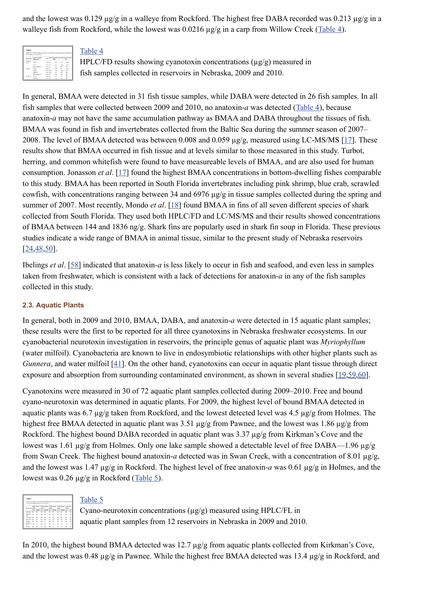and the lowest was 0.129 µg/g in a walleye from Rockford. The highest free DABA recorded was 0.213 µg/g in a walleye fish from Rockford, while the lowest was 0.0216  $\mu$ g/g in a carp from Willow Creek ([Table 4\)](http://www.ncbi.nlm.nih.gov/pmc/articles/PMC3942747/table/toxins-06-00488-t004/).

|                   | HPLC/FD results showing cranotoxin concentrations (ag/g) measured in fish samp |                    |                                                          |                |                |
|-------------------|--------------------------------------------------------------------------------|--------------------|----------------------------------------------------------|----------------|----------------|
|                   | in Nebruska, 2004 and 2010.                                                    |                    |                                                          |                |                |
| Bearrow           | Species (ciadis.)<br><b><i>Informati</i></b>                                   | <b>Truc</b>        | <b>EMAA (pg/g)board</b> DARA (pg/g) board<br><b>free</b> |                | free.          |
| Estenada<br>Corp. | Carp 18                                                                        | 2000 1.50          | 0.893                                                    | 6.51           | 0.276          |
|                   | Cara-1/0                                                                       | now off            | o ser                                                    | 1.151          | 0.158          |
|                   | White croppin (2)                                                              | anso a.6           | 0.347                                                    | N2             | N <sub>2</sub> |
| Former            | Reparted                                                                       | <b>SORG O.S.</b>   | 0.455                                                    | $\overline{a}$ | 0.354          |
|                   | <b>Shadrat</b>                                                                 | <b>MADE IS FOR</b> | o sat-                                                   | 0.054          | N <sub>2</sub> |
|                   | Walker (s)                                                                     | anno o.fing        | 0.01                                                     | a sin          | $_{\rm HII}$   |
|                   | White croppie (p)                                                              | 300g o.16          | 0.332                                                    | 1.15           | NT-            |
| Enclosed          | Born O.D.                                                                      | 2006 0.31          | 0.27                                                     | LOA            | $N\Gamma$      |
|                   | Cefektub                                                                       | anno o ka          | 0.014                                                    | 1.19           | NT             |

## [Table 4](http://www.ncbi.nlm.nih.gov/pmc/articles/PMC3942747/table/toxins-06-00488-t004/)

HPLC/FD results showing cyanotoxin concentrations  $(\mu g/g)$  measured in fish samples collected in reservoirs in Nebraska, 2009 and 2010.

In general, BMAA were detected in 31 fish tissue samples, while DABA were detected in 26 fish samples. In all fish samples that were collected between 2009 and 2010, no anatoxin-*a* was detected ([Table 4\)](http://www.ncbi.nlm.nih.gov/pmc/articles/PMC3942747/table/toxins-06-00488-t004/), because anatoxin-*a* may not have the same accumulation pathway as BMAA and DABA throughout the tissues of fish. BMAA was found in fish and invertebrates collected from the Baltic Sea during the summer season of 2007– 2008. The level of BMAA detected was between 0.008 and 0.059  $\mu$ g/g, measured using LC-MS/MS [\[17\]](http://www.ncbi.nlm.nih.gov/pmc/articles/PMC3942747/#B17-toxins-06-00488). These results show that BMAA occurred in fish tissue and at levels similar to those measured in this study. Turbot, herring, and common whitefish were found to have measureable levels of BMAA, and are also used for human consumption. Jonasson *et al*. [\[17\]](http://www.ncbi.nlm.nih.gov/pmc/articles/PMC3942747/#B17-toxins-06-00488) found the highest BMAA concentrations in bottom-dwelling fishes comparable to this study. BMAA has been reported in South Florida invertebrates including pink shrimp, blue crab, scrawled cowfish, with concentrations ranging between 34 and 6976 µg/g in tissue samples collected during the spring and summer of 2007. Most recently, Mondo *et al*. [\[18\]](http://www.ncbi.nlm.nih.gov/pmc/articles/PMC3942747/#B18-toxins-06-00488) found BMAA in fins of all seven different species of shark collected from South Florida. They used both HPLC/FD and LC/MS/MS and their results showed concentrations of BMAA between 144 and 1836 ng/g. Shark fins are popularly used in shark fin soup in Florida. These previous studies indicate a wide range of BMAA in animal tissue, similar to the present study of Nebraska reservoirs [\[24](http://www.ncbi.nlm.nih.gov/pmc/articles/PMC3942747/#B24-toxins-06-00488)[,48](http://www.ncbi.nlm.nih.gov/pmc/articles/PMC3942747/#B48-toxins-06-00488)[,50\]](http://www.ncbi.nlm.nih.gov/pmc/articles/PMC3942747/#B50-toxins-06-00488).

Ibelings *et al*. [\[58\]](http://www.ncbi.nlm.nih.gov/pmc/articles/PMC3942747/#B58-toxins-06-00488) indicated that anatoxin-*a* is less likely to occur in fish and seafood, and even less in samples taken from freshwater, which is consistent with a lack of detections for anatoxin-*a* in any of the fish samples collected in this study.

## **2.3. Aquatic Plants**

In general, both in 2009 and 2010, BMAA, DABA, and anatoxin-*a* were detected in 15 aquatic plant samples; these results were the first to be reported for all three cyanotoxins in Nebraska freshwater ecosystems. In our cyanobacterial neurotoxin investigation in reservoirs, the principle genus of aquatic plant was *Myriophyllum* (water milfoil). Cyanobacteria are known to live in endosymbiotic relationships with other higher plants such as *Gunnera*, and water milfoil [[41\]](http://www.ncbi.nlm.nih.gov/pmc/articles/PMC3942747/#B41-toxins-06-00488). On the other hand, cyanotoxins can occur in aquatic plant tissue through direct exposure and absorption from surrounding contaminated environment, as shown in several studies [\[19,](http://www.ncbi.nlm.nih.gov/pmc/articles/PMC3942747/#B19-toxins-06-00488)[59,](http://www.ncbi.nlm.nih.gov/pmc/articles/PMC3942747/#B59-toxins-06-00488)[60\]](http://www.ncbi.nlm.nih.gov/pmc/articles/PMC3942747/#B60-toxins-06-00488).

Cyanotoxins were measured in 30 of 72 aquatic plant samples collected during 2009–2010. Free and bound cyano-neurotoxin was determined in aquatic plants. For 2009, the highest level of bound BMAA detected in aquatic plants was 6.7 µg/g taken from Rockford, and the lowest detected level was 4.5 µg/g from Holmes. The highest free BMAA detected in aquatic plant was 3.51  $\mu$ g/g from Pawnee, and the lowest was 1.86  $\mu$ g/g from Rockford. The highest bound DABA recorded in aquatic plant was 3.37 µg/g from Kirkman's Cove and the lowest was 1.61 µg/g from Holmes. Only one lake sample showed a detectable level of free DABA—1.96 µg/g from Swan Creek. The highest bound anatoxin-*a* detected was in Swan Creek, with a concentration of 8.01 µg/g, and the lowest was 1.47 µg/g in Rockford. The highest level of free anatoxin-*a* was 0.61 µg/g in Holmes, and the lowest was 0.26 µg/g in Rockford ([Table 5\)](http://www.ncbi.nlm.nih.gov/pmc/articles/PMC3942747/table/toxins-06-00488-t005/).



## [Table 5](http://www.ncbi.nlm.nih.gov/pmc/articles/PMC3942747/table/toxins-06-00488-t005/)

Cyano-neurotoxin concentrations (µg/g) measured using HPLC/FL in aquatic plant samples from 12 reservoirs in Nebraska in 2009 and 2010.

In 2010, the highest bound BMAA detected was 12.7 µg/g from aquatic plants collected from Kirkman's Cove, and the lowest was 0.48 µg/g in Pawnee. While the highest free BMAA detected was 13.4 µg/g in Rockford, and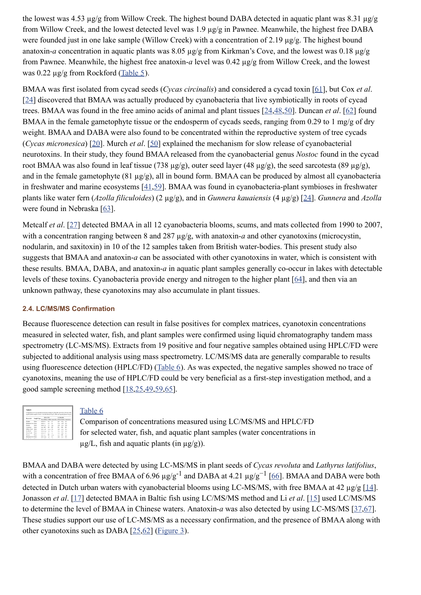the lowest was 4.53 µg/g from Willow Creek. The highest bound DABA detected in aquatic plant was 8.31 µg/g from Willow Creek, and the lowest detected level was 1.9 µg/g in Pawnee. Meanwhile, the highest free DABA were founded just in one lake sample (Willow Creek) with a concentration of 2.19  $\mu$ g/g. The highest bound anatoxin-*a* concentration in aquatic plants was 8.05  $\mu$ g/g from Kirkman's Cove, and the lowest was 0.18  $\mu$ g/g from Pawnee. Meanwhile, the highest free anatoxin-*a* level was 0.42 µg/g from Willow Creek, and the lowest was 0.22  $\mu$ g/g from Rockford [\(Table 5\)](http://www.ncbi.nlm.nih.gov/pmc/articles/PMC3942747/table/toxins-06-00488-t005/).

BMAA was first isolated from cycad seeds (*Cycas circinalis*) and considered a cycad toxin [\[61\]](http://www.ncbi.nlm.nih.gov/pmc/articles/PMC3942747/#B61-toxins-06-00488), but Cox *et al*. [\[24\]](http://www.ncbi.nlm.nih.gov/pmc/articles/PMC3942747/#B24-toxins-06-00488) discovered that BMAA was actually produced by cyanobacteria that live symbiotically in roots of cycad trees. BMAA was found in the free amino acids of animal and plant tissues [[24,](http://www.ncbi.nlm.nih.gov/pmc/articles/PMC3942747/#B24-toxins-06-00488)[48,](http://www.ncbi.nlm.nih.gov/pmc/articles/PMC3942747/#B48-toxins-06-00488)[50\]](http://www.ncbi.nlm.nih.gov/pmc/articles/PMC3942747/#B50-toxins-06-00488). Duncan *et al*. [\[62](http://www.ncbi.nlm.nih.gov/pmc/articles/PMC3942747/#B62-toxins-06-00488)] found BMAA in the female gametophyte tissue or the endosperm of cycads seeds, ranging from 0.29 to 1 mg/g of dry weight. BMAA and DABA were also found to be concentrated within the reproductive system of tree cycads (*Cycas micronesica*) [\[20\]](http://www.ncbi.nlm.nih.gov/pmc/articles/PMC3942747/#B20-toxins-06-00488). Murch *et al*. [\[50\]](http://www.ncbi.nlm.nih.gov/pmc/articles/PMC3942747/#B50-toxins-06-00488) explained the mechanism for slow release of cyanobacterial neurotoxins. In their study, they found BMAA released from the cyanobacterial genus *Nostoc* found in the cycad root BMAA was also found in leaf tissue (738  $\mu$ g/g), outer seed layer (48  $\mu$ g/g), the seed sarcotesta (89  $\mu$ g/g), and in the female gametophyte (81 µg/g), all in bound form. BMAA can be produced by almost all cyanobacteria in freshwater and marine ecosystems [\[41](http://www.ncbi.nlm.nih.gov/pmc/articles/PMC3942747/#B41-toxins-06-00488)[,59\]](http://www.ncbi.nlm.nih.gov/pmc/articles/PMC3942747/#B59-toxins-06-00488). BMAA was found in cyanobacteria-plant symbioses in freshwater plants like water fern (*Azolla filiculoides*) (2 µg/g), and in *Gunnera kauaiensis* (4 µg/g) [\[24\]](http://www.ncbi.nlm.nih.gov/pmc/articles/PMC3942747/#B24-toxins-06-00488). *Gunnera* and *Azolla* were found in Nebraska [\[63\]](http://www.ncbi.nlm.nih.gov/pmc/articles/PMC3942747/#B63-toxins-06-00488).

Metcalf *et al.* [\[27\]](http://www.ncbi.nlm.nih.gov/pmc/articles/PMC3942747/#B27-toxins-06-00488) detected BMAA in all 12 cyanobacteria blooms, scums, and mats collected from 1990 to 2007, with a concentration ranging between 8 and 287  $\mu$ g/g, with anatoxin-*a* and other cyanotoxins (microcystin, nodularin, and saxitoxin) in 10 of the 12 samples taken from British water-bodies. This present study also suggests that BMAA and anatoxin-*a* can be associated with other cyanotoxins in water, which is consistent with these results. BMAA, DABA, and anatoxin-*a* in aquatic plant samples generally co-occur in lakes with detectable levels of these toxins. Cyanobacteria provide energy and nitrogen to the higher plant [\[64\]](http://www.ncbi.nlm.nih.gov/pmc/articles/PMC3942747/#B64-toxins-06-00488), and then via an unknown pathway, these cyanotoxins may also accumulate in plant tissues.

## **2.4. LC/MS/MS Confirmation**

Because fluorescence detection can result in false positives for complex matrices, cyanotoxin concentrations measured in selected water, fish, and plant samples were confirmed using liquid chromatography tandem mass spectrometry (LC-MS/MS). Extracts from 19 positive and four negative samples obtained using HPLC/FD were subjected to additional analysis using mass spectrometry. LC/MS/MS data are generally comparable to results using fluorescence detection (HPLC/FD) [\(Table 6\)](http://www.ncbi.nlm.nih.gov/pmc/articles/PMC3942747/table/toxins-06-00488-t006/). As was expected, the negative samples showed no trace of cyanotoxins, meaning the use of HPLC/FD could be very beneficial as a first-step investigation method, and a good sample screening method  $[18, 25, 49, 59, 65]$  $[18, 25, 49, 59, 65]$  $[18, 25, 49, 59, 65]$  $[18, 25, 49, 59, 65]$  $[18, 25, 49, 59, 65]$  $[18, 25, 49, 59, 65]$  $[18, 25, 49, 59, 65]$  $[18, 25, 49, 59, 65]$  $[18, 25, 49, 59, 65]$ .

| Comparison of concentrations measured using LC/MS/MS and HPLC/FD for sele |              |                 |  |                 |                                                 |                 |                |                                                                                       |
|---------------------------------------------------------------------------|--------------|-----------------|--|-----------------|-------------------------------------------------|-----------------|----------------|---------------------------------------------------------------------------------------|
|                                                                           |              |                 |  |                 |                                                 |                 |                |                                                                                       |
|                                                                           |              |                 |  |                 |                                                 |                 |                | aquatic plant samples (water concentrations in µg/L, fish and aquatic plants (in µg/; |
| <b>Bongraph</b>                                                           |              | <b>SPLCTO</b>   |  |                 |                                                 | <b>LC/MN/NN</b> |                |                                                                                       |
|                                                                           | Sample Trav- |                 |  |                 | Your BMAA DARA Approvince BMAA FISHA Approxima- |                 |                |                                                                                       |
| <b>Holmes</b>                                                             | Weber        | pang K.o.       |  | z.              | 6.8                                             | 16.8            | $\overline{m}$ | ni v                                                                                  |
| <b>Edmon's Corp Water</b>                                                 |              | <b>ANDREA</b>   |  | 5.9             | 55                                              | 6.52            | 13.8           | 105.71                                                                                |
| Paymer                                                                    | Water        | $1000$ m.h.     |  | 10.7            | 16.6                                            | 335             | ST-R           | $n = 0$                                                                               |
| Concetoga                                                                 | Water.       | more. NO        |  | NO <sub>1</sub> | N                                               | N1              | N1             | NO <sub>1</sub>                                                                       |
| William Couch Water                                                       |              | post such       |  | 31.54           | 16.1                                            | 33.6            | <b>NA</b>      | 10.1                                                                                  |
| Rockford                                                                  | Water        | <b>BROS BAN</b> |  | 15.8            | 8.4                                             | 29.6            | 20.8           | 75.8                                                                                  |
| <b>Swan Crook</b>                                                         | Water        | poor u.M.       |  | 5.0             | $_{12}$                                         | <b>MA</b>       | <b>VEG</b>     | 5.2                                                                                   |
| Paymer                                                                    | Water        | <b>MAG</b> A.M. |  |                 | 5.54                                            | 5.00            |                | 19.8                                                                                  |
| Eichman's Cour Water                                                      |              | 3100 25.5       |  | DAY             | 6a                                              |                 |                |                                                                                       |
| <b>Rockford Committee</b>                                                 |              | ----            |  | ----            |                                                 |                 |                | -                                                                                     |

## [Table 6](http://www.ncbi.nlm.nih.gov/pmc/articles/PMC3942747/table/toxins-06-00488-t006/)

Comparison of concentrations measured using LC/MS/MS and HPLC/FD for selected water, fish, and aquatic plant samples (water concentrations in  $\mu$ g/L, fish and aquatic plants (in  $\mu$ g/g)).

BMAA and DABA were detected by using LC-MS/MS in plant seeds of *Cycas revoluta* and *Lathyrus latifolius*, with a concentration of free BMAA of 6.96  $\mu$ g/g<sup>-1</sup> and DABA at 4.21  $\mu$ g/g<sup>-1</sup> [\[66\]](http://www.ncbi.nlm.nih.gov/pmc/articles/PMC3942747/#B66-toxins-06-00488). BMAA and DABA were both detected in Dutch urban waters with cyanobacterial blooms using LC-MS/MS, with free BMAA at 42 µg/g [\[14](http://www.ncbi.nlm.nih.gov/pmc/articles/PMC3942747/#B14-toxins-06-00488)]. Jonasson *et al*. [\[17\]](http://www.ncbi.nlm.nih.gov/pmc/articles/PMC3942747/#B17-toxins-06-00488) detected BMAA in Baltic fish using LC/MS/MS method and Li *et al*. [\[15\]](http://www.ncbi.nlm.nih.gov/pmc/articles/PMC3942747/#B15-toxins-06-00488) used LC/MS/MS to determine the level of BMAA in Chinese waters. Anatoxin-*a* was also detected by using LC-MS/MS [\[37](http://www.ncbi.nlm.nih.gov/pmc/articles/PMC3942747/#B37-toxins-06-00488)[,67\]](http://www.ncbi.nlm.nih.gov/pmc/articles/PMC3942747/#B67-toxins-06-00488). These studies support our use of LC-MS/MS as a necessary confirmation, and the presence of BMAA along with other cyanotoxins such as DABA [\[25](http://www.ncbi.nlm.nih.gov/pmc/articles/PMC3942747/#B25-toxins-06-00488)[,62\]](http://www.ncbi.nlm.nih.gov/pmc/articles/PMC3942747/#B62-toxins-06-00488) [\(Figure 3\)](http://www.ncbi.nlm.nih.gov/pmc/articles/PMC3942747/figure/toxins-06-00488-f003/).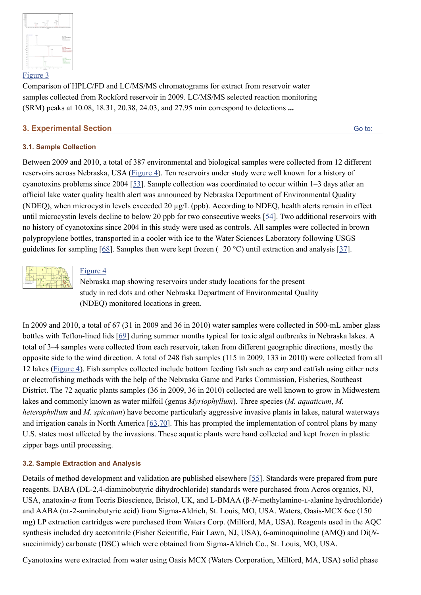

Comparison of HPLC/FD and LC/MS/MS chromatograms for extract from reservoir water samples collected from Rockford reservoir in 2009. LC/MS/MS selected reaction monitoring (SRM) peaks at 10.08, 18.31, 20.38, 24.03, and 27.95 min correspond to detections **...**

## **3. Experimental Section**

[Go to:](http://www.ncbi.nlm.nih.gov/pmc/articles/PMC3942747/#)

## **3.1. Sample Collection**

Between 2009 and 2010, a total of 387 environmental and biological samples were collected from 12 different reservoirs across Nebraska, USA ([Figure 4\)](http://www.ncbi.nlm.nih.gov/pmc/articles/PMC3942747/figure/toxins-06-00488-f004/). Ten reservoirs under study were well known for a history of cyanotoxins problems since 2004 [[53\]](http://www.ncbi.nlm.nih.gov/pmc/articles/PMC3942747/#B53-toxins-06-00488). Sample collection was coordinated to occur within 1–3 days after an official lake water quality health alert was announced by Nebraska Department of Environmental Quality (NDEQ), when microcystin levels exceeded 20 µg/L (ppb). According to NDEQ, health alerts remain in effect until microcystin levels decline to below 20 ppb for two consecutive weeks [\[54\]](http://www.ncbi.nlm.nih.gov/pmc/articles/PMC3942747/#B54-toxins-06-00488). Two additional reservoirs with no history of cyanotoxins since 2004 in this study were used as controls. All samples were collected in brown polypropylene bottles, transported in a cooler with ice to the Water Sciences Laboratory following USGS guidelines for sampling [\[68\]](http://www.ncbi.nlm.nih.gov/pmc/articles/PMC3942747/#B68-toxins-06-00488). Samples then were kept frozen (−20 °C) until extraction and analysis [\[37\]](http://www.ncbi.nlm.nih.gov/pmc/articles/PMC3942747/#B37-toxins-06-00488).



## [Figure 4](http://www.ncbi.nlm.nih.gov/pmc/articles/PMC3942747/figure/toxins-06-00488-f004/)

Nebraska map showing reservoirs under study locations for the present study in red dots and other Nebraska Department of Environmental Quality (NDEQ) monitored locations in green.

In 2009 and 2010, a total of 67 (31 in 2009 and 36 in 2010) water samples were collected in 500-mL amber glass bottles with Teflon-lined lids [[69](http://www.ncbi.nlm.nih.gov/pmc/articles/PMC3942747/#B69-toxins-06-00488)] during summer months typical for toxic algal outbreaks in Nebraska lakes. A total of 3–4 samples were collected from each reservoir, taken from different geographic directions, mostly the opposite side to the wind direction. A total of 248 fish samples (115 in 2009, 133 in 2010) were collected from all 12 lakes [\(Figure 4](http://www.ncbi.nlm.nih.gov/pmc/articles/PMC3942747/figure/toxins-06-00488-f004/)). Fish samples collected include bottom feeding fish such as carp and catfish using either nets or electrofishing methods with the help of the Nebraska Game and Parks Commission, Fisheries, Southeast District. The 72 aquatic plants samples (36 in 2009, 36 in 2010) collected are well known to grow in Midwestern lakes and commonly known as water milfoil (genus *Myriophyllum*). Three species (*M. aquaticum*, *M. heterophyllum* and *M. spicatum*) have become particularly aggressive invasive plants in lakes, natural waterways and irrigation canals in North America  $[63,70]$  $[63,70]$ . This has prompted the implementation of control plans by many U.S. states most affected by the invasions. These aquatic plants were hand collected and kept frozen in plastic zipper bags until processing.

## **3.2. Sample Extraction and Analysis**

Details of method development and validation are published elsewhere [[55\]](http://www.ncbi.nlm.nih.gov/pmc/articles/PMC3942747/#B55-toxins-06-00488). Standards were prepared from pure reagents. DABA (DL-2,4-diaminobutyric dihydrochloride) standards were purchased from Acros organics, NJ, USA, anatoxin-*a* from Tocris Bioscience, Bristol, UK, and L-BMAA (β-*N*-methylamino-L-alanine hydrochloride) and AABA (DL-2-aminobutyric acid) from Sigma-Aldrich, St. Louis, MO, USA. Waters, Oasis-MCX 6cc (150 mg) LP extraction cartridges were purchased from Waters Corp. (Milford, MA, USA). Reagents used in the AQC synthesis included dry acetonitrile (Fisher Scientific, Fair Lawn, NJ, USA), 6-aminoquinoline (AMQ) and Di(*N*succinimidy) carbonate (DSC) which were obtained from Sigma-Aldrich Co., St. Louis, MO, USA.

Cyanotoxins were extracted from water using Oasis MCX (Waters Corporation, Milford, MA, USA) solid phase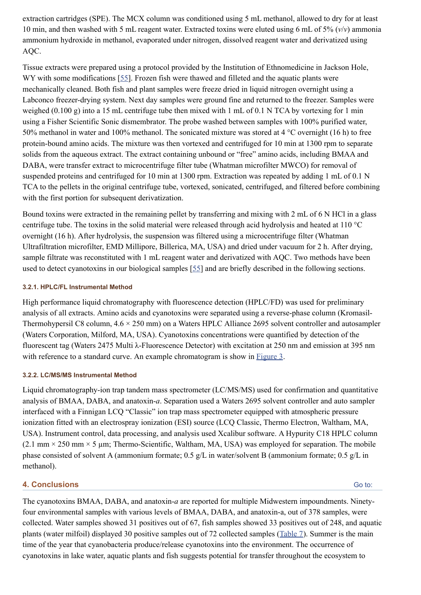extraction cartridges (SPE). The MCX column was conditioned using 5 mL methanol, allowed to dry for at least 10 min, and then washed with 5 mL reagent water. Extracted toxins were eluted using 6 mL of 5% (*v*/*v*) ammonia ammonium hydroxide in methanol, evaporated under nitrogen, dissolved reagent water and derivatized using AQC.

Tissue extracts were prepared using a protocol provided by the Institution of Ethnomedicine in Jackson Hole, WY with some modifications [\[55\]](http://www.ncbi.nlm.nih.gov/pmc/articles/PMC3942747/#B55-toxins-06-00488). Frozen fish were thawed and filleted and the aquatic plants were mechanically cleaned. Both fish and plant samples were freeze dried in liquid nitrogen overnight using a Labconco freezer-drying system. Next day samples were ground fine and returned to the freezer. Samples were weighed (0.100 g) into a 15 mL centrifuge tube then mixed with 1 mL of 0.1 N TCA by vortexing for 1 min using a Fisher Scientific Sonic dismembrator. The probe washed between samples with 100% purified water, 50% methanol in water and 100% methanol. The sonicated mixture was stored at 4 °C overnight (16 h) to free protein-bound amino acids. The mixture was then vortexed and centrifuged for 10 min at 1300 rpm to separate solids from the aqueous extract. The extract containing unbound or "free" amino acids, including BMAA and DABA, were transfer extract to microcentrifuge filter tube (Whatman microfilter MWCO) for removal of suspended proteins and centrifuged for 10 min at 1300 rpm. Extraction was repeated by adding 1 mL of 0.1 N TCA to the pellets in the original centrifuge tube, vortexed, sonicated, centrifuged, and filtered before combining with the first portion for subsequent derivatization.

Bound toxins were extracted in the remaining pellet by transferring and mixing with 2 mL of 6 N HCl in a glass centrifuge tube. The toxins in the solid material were released through acid hydrolysis and heated at 110 °C overnight (16 h). After hydrolysis, the suspension was filtered using a microcentrifuge filter (Whatman Ultrafiltration microfilter, EMD Millipore, Billerica, MA, USA) and dried under vacuum for 2 h. After drying, sample filtrate was reconstituted with 1 mL reagent water and derivatized with AQC. Two methods have been used to detect cyanotoxins in our biological samples [\[55\]](http://www.ncbi.nlm.nih.gov/pmc/articles/PMC3942747/#B55-toxins-06-00488) and are briefly described in the following sections.

## **3.2.1. HPLC/FL Instrumental Method**

High performance liquid chromatography with fluorescence detection (HPLC/FD) was used for preliminary analysis of all extracts. Amino acids and cyanotoxins were separated using a reverse-phase column (Kromasil-Thermohypersil C8 column,  $4.6 \times 250$  mm) on a Waters HPLC Alliance 2695 solvent controller and autosampler (Waters Corporation, Milford, MA, USA). Cyanotoxins concentrations were quantified by detection of the fluorescent tag (Waters 2475 Multi λ-Fluorescence Detector) with excitation at 250 nm and emission at 395 nm with reference to a standard curve. An example chromatogram is show in [Figure 3](http://www.ncbi.nlm.nih.gov/pmc/articles/PMC3942747/figure/toxins-06-00488-f003/).

#### **3.2.2. LC/MS/MS Instrumental Method**

Liquid chromatography-ion trap tandem mass spectrometer (LC/MS/MS) used for confirmation and quantitative analysis of BMAA, DABA, and anatoxin-*a*. Separation used a Waters 2695 solvent controller and auto sampler interfaced with a Finnigan LCQ "Classic" ion trap mass spectrometer equipped with atmospheric pressure ionization fitted with an electrospray ionization (ESI) source (LCQ Classic, Thermo Electron, Waltham, MA, USA). Instrument control, data processing, and analysis used Xcalibur software. A Hypurity C18 HPLC column  $(2.1 \text{ mm} \times 250 \text{ mm} \times 5 \text{ µm}$ ; Thermo-Scientific, Waltham, MA, USA) was employed for separation. The mobile phase consisted of solvent A (ammonium formate; 0.5 g/L in water/solvent B (ammonium formate; 0.5 g/L in methanol).

## **4. Conclusions**

[Go to:](http://www.ncbi.nlm.nih.gov/pmc/articles/PMC3942747/#)

The cyanotoxins BMAA, DABA, and anatoxin-*a* are reported for multiple Midwestern impoundments. Ninetyfour environmental samples with various levels of BMAA, DABA, and anatoxin-a, out of 378 samples, were collected. Water samples showed 31 positives out of 67, fish samples showed 33 positives out of 248, and aquatic plants (water milfoil) displayed 30 positive samples out of 72 collected samples ([Table 7\)](http://www.ncbi.nlm.nih.gov/pmc/articles/PMC3942747/table/toxins-06-00488-t007/). Summer is the main time of the year that cyanobacteria produce/release cyanotoxins into the environment. The occurrence of cyanotoxins in lake water, aquatic plants and fish suggests potential for transfer throughout the ecosystem to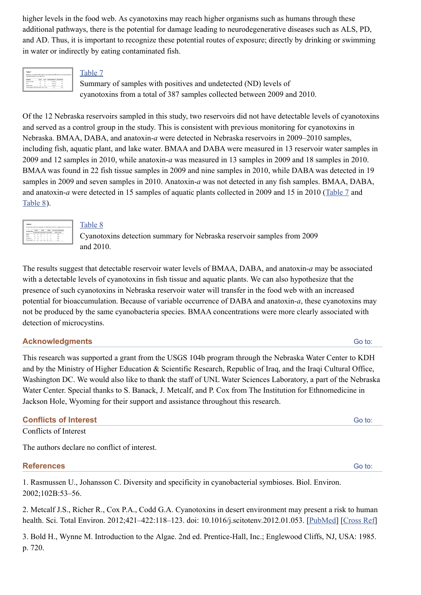higher levels in the food web. As cyanotoxins may reach higher organisms such as humans through these additional pathways, there is the potential for damage leading to neurodegenerative diseases such as ALS, PD, and AD. Thus, it is important to recognize these potential routes of exposure; directly by drinking or swimming in water or indirectly by eating contaminated fish.

| Table 7                          |             |              |                                                                                |             |
|----------------------------------|-------------|--------------|--------------------------------------------------------------------------------|-------------|
|                                  |             |              | Summary of samples with nonlines and undetected (ME) levels of cyanotoxins fry |             |
| collected between 2004 and 2010. |             |              |                                                                                |             |
| <b>Controllers</b>               | <b>AGGS</b> | <b>Adopt</b> | <b>Total position (% of)</b>                                                   |             |
| Lournain water                   | ×           |              | \$10,000                                                                       |             |
|                                  |             | ٠            | An first all                                                                   | <b>SILE</b> |
| Fish                             | h.          |              |                                                                                |             |
| <b>Locatic school</b>            |             |              | totas vi                                                                       | o           |

## [Table 7](http://www.ncbi.nlm.nih.gov/pmc/articles/PMC3942747/table/toxins-06-00488-t007/)

Summary of samples with positives and undetected (ND) levels of cyanotoxins from a total of 387 samples collected between 2009 and 2010.

Of the 12 Nebraska reservoirs sampled in this study, two reservoirs did not have detectable levels of cyanotoxins and served as a control group in the study. This is consistent with previous monitoring for cyanotoxins in Nebraska. BMAA, DABA, and anatoxin-*a* were detected in Nebraska reservoirs in 2009–2010 samples, including fish, aquatic plant, and lake water. BMAA and DABA were measured in 13 reservoir water samples in 2009 and 12 samples in 2010, while anatoxin-*a* was measured in 13 samples in 2009 and 18 samples in 2010. BMAA was found in 22 fish tissue samples in 2009 and nine samples in 2010, while DABA was detected in 19 samples in 2009 and seven samples in 2010. Anatoxin-*a* was not detected in any fish samples. BMAA, DABA, and anatoxin-*a* were detected in 15 samples of aquatic plants collected in 2009 and 15 in 2010 ([Table 7](http://www.ncbi.nlm.nih.gov/pmc/articles/PMC3942747/table/toxins-06-00488-t007/) and [Table 8\)](http://www.ncbi.nlm.nih.gov/pmc/articles/PMC3942747/table/toxins-06-00488-t008/).



## [Table 8](http://www.ncbi.nlm.nih.gov/pmc/articles/PMC3942747/table/toxins-06-00488-t008/)

Cyanotoxins detection summary for Nebraska reservoir samples from 2009 and 2010.

The results suggest that detectable reservoir water levels of BMAA, DABA, and anatoxin-*a* may be associated with a detectable levels of cyanotoxins in fish tissue and aquatic plants. We can also hypothesize that the presence of such cyanotoxins in Nebraska reservoir water will transfer in the food web with an increased potential for bioaccumulation. Because of variable occurrence of DABA and anatoxin-*a*, these cyanotoxins may not be produced by the same cyanobacteria species. BMAA concentrations were more clearly associated with detection of microcystins.

## **Acknowledgments**

This research was supported a grant from the USGS 104b program through the Nebraska Water Center to KDH and by the Ministry of Higher Education & Scientific Research, Republic of Iraq, and the Iraqi Cultural Office, Washington DC. We would also like to thank the staff of UNL Water Sciences Laboratory, a part of the Nebraska Water Center. Special thanks to S. Banack, J. Metcalf, and P. Cox from The Institution for Ethnomedicine in Jackson Hole, Wyoming for their support and assistance throughout this research.

## **Conflicts of Interest**

Conflicts of Interest

The authors declare no conflict of interest.

## **References**

1. Rasmussen U., Johansson C. Diversity and specificity in cyanobacterial symbioses. Biol. Environ. 2002;102B:53–56.

2. Metcalf J.S., Richer R., Cox P.A., Codd G.A. Cyanotoxins in desert environment may present a risk to human health. Sci. Total Environ. 2012;421–422:118–123. doi: 10.1016/j.scitotenv.2012.01.053. [\[PubMed\]](http://www.ncbi.nlm.nih.gov/pubmed/22369867) [\[Cross Ref\]](http://dx.doi.org/10.1016%2Fj.scitotenv.2012.01.053)

3. Bold H., Wynne M. Introduction to the Algae. 2nd ed. Prentice-Hall, Inc.; Englewood Cliffs, NJ, USA: 1985. p. 720.

#### [Go to:](http://www.ncbi.nlm.nih.gov/pmc/articles/PMC3942747/#)

[Go to:](http://www.ncbi.nlm.nih.gov/pmc/articles/PMC3942747/#)

[Go to:](http://www.ncbi.nlm.nih.gov/pmc/articles/PMC3942747/#)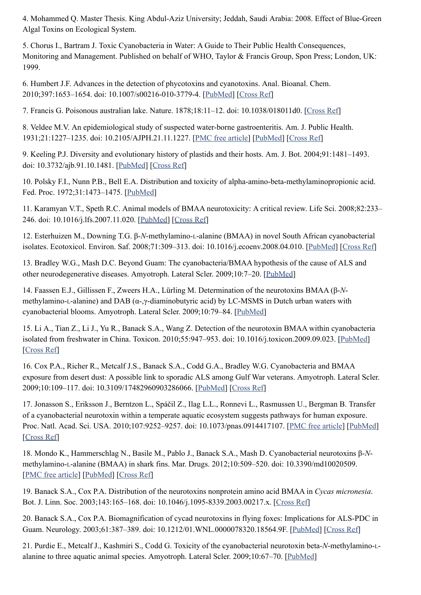4. Mohammed Q. Master Thesis. King Abdul-Aziz University; Jeddah, Saudi Arabia: 2008. Effect of Blue-Green Algal Toxins on Ecological System.

5. Chorus I., Bartram J. Toxic Cyanobacteria in Water: A Guide to Their Public Health Consequences, Monitoring and Management. Published on behalf of WHO, Taylor & Francis Group, Spon Press; London, UK: 1999.

6. Humbert J.F. Advances in the detection of phycotoxins and cyanotoxins. Anal. Bioanal. Chem. 2010;397:1653–1654. doi: 10.1007/s00216-010-3779-4. [\[PubMed](http://www.ncbi.nlm.nih.gov/pubmed/20496031)] [\[Cross Ref\]](http://dx.doi.org/10.1007%2Fs00216-010-3779-4)

7. Francis G. Poisonous australian lake. Nature. 1878;18:11–12. doi: 10.1038/018011d0. [\[Cross Ref\]](http://dx.doi.org/10.1038%2F018011d0)

8. Veldee M.V. An epidemiological study of suspected water-borne gastroenteritis. Am. J. Public Health. 1931;21:1227–1235. doi: 10.2105/AJPH.21.11.1227. [\[PMC free article\]](http://www.ncbi.nlm.nih.gov/pmc/articles/PMC1556666/) [[PubMed\]](http://www.ncbi.nlm.nih.gov/pubmed/18013386) [\[Cross Ref\]](http://dx.doi.org/10.2105%2FAJPH.21.11.1227)

9. Keeling P.J. Diversity and evolutionary history of plastids and their hosts. Am. J. Bot. 2004;91:1481–1493. doi: 10.3732/ajb.91.10.1481. [[PubMed\]](http://www.ncbi.nlm.nih.gov/pubmed/21652304) [[Cross Ref\]](http://dx.doi.org/10.3732%2Fajb.91.10.1481)

10. Polsky F.I., Nunn P.B., Bell E.A. Distribution and toxicity of alpha-amino-beta-methylaminopropionic acid. Fed. Proc. 1972;31:1473–1475. [\[PubMed\]](http://www.ncbi.nlm.nih.gov/pubmed/5056173)

11. Karamyan V.T., Speth R.C. Animal models of BMAA neurotoxicity: A critical review. Life Sci. 2008;82:233– 246. doi: 10.1016/j.lfs.2007.11.020. [\[PubMed\]](http://www.ncbi.nlm.nih.gov/pubmed/18191417) [[Cross Ref](http://dx.doi.org/10.1016%2Fj.lfs.2007.11.020)]

12. Esterhuizen M., Downing T.G. β-*N*-methylamino-L-alanine (BMAA) in novel South African cyanobacterial isolates. Ecotoxicol. Environ. Saf. 2008;71:309–313. doi: 10.1016/j.ecoenv.2008.04.010. [\[PubMed\]](http://www.ncbi.nlm.nih.gov/pubmed/18538391) [\[Cross Ref\]](http://dx.doi.org/10.1016%2Fj.ecoenv.2008.04.010)

13. Bradley W.G., Mash D.C. Beyond Guam: The cyanobacteria/BMAA hypothesis of the cause of ALS and other neurodegenerative diseases. Amyotroph. Lateral Scler. 2009;10:7–20. [\[PubMed](http://www.ncbi.nlm.nih.gov/pubmed/19929726)]

14. Faassen E.J., Gillissen F., Zweers H.A., Lürling M. Determination of the neurotoxins BMAA (β-*N*methylamino-L-alanine) and DAB (α-,γ-diaminobutyric acid) by LC-MSMS in Dutch urban waters with cyanobacterial blooms. Amyotroph. Lateral Scler. 2009;10:79–84. [\[PubMed](http://www.ncbi.nlm.nih.gov/pubmed/19929738)]

15. Li A., Tian Z., Li J., Yu R., Banack S.A., Wang Z. Detection of the neurotoxin BMAA within cyanobacteria isolated from freshwater in China. Toxicon. 2010;55:947–953. doi: 10.1016/j.toxicon.2009.09.023. [[PubMed\]](http://www.ncbi.nlm.nih.gov/pubmed/19822166) [\[Cross Ref](http://dx.doi.org/10.1016%2Fj.toxicon.2009.09.023)]

16. Cox P.A., Richer R., Metcalf J.S., Banack S.A., Codd G.A., Bradley W.G. Cyanobacteria and BMAA exposure from desert dust: A possible link to sporadic ALS among Gulf War veterans. Amyotroph. Lateral Scler. 2009;10:109–117. doi: 10.3109/17482960903286066. [\[PubMed\]](http://www.ncbi.nlm.nih.gov/pubmed/19929742) [\[Cross Ref\]](http://dx.doi.org/10.3109%2F17482960903286066)

17. Jonasson S., Eriksson J., Berntzon L., Spáčil Z., Ilag L.L., Ronnevi L., Rasmussen U., Bergman B. Transfer of a cyanobacterial neurotoxin within a temperate aquatic ecosystem suggests pathways for human exposure. Proc. Natl. Acad. Sci. USA. 2010;107:9252–9257. doi: 10.1073/pnas.0914417107. [\[PMC free article](http://www.ncbi.nlm.nih.gov/pmc/articles/PMC2889067/)] [\[PubMed\]](http://www.ncbi.nlm.nih.gov/pubmed/20439734) [\[Cross Ref](http://dx.doi.org/10.1073%2Fpnas.0914417107)]

18. Mondo K., Hammerschlag N., Basile M., Pablo J., Banack S.A., Mash D. Cyanobacterial neurotoxins β-*N*methylamino-L-alanine (BMAA) in shark fins. Mar. Drugs. 2012;10:509–520. doi: 10.3390/md10020509. [\[PMC free article](http://www.ncbi.nlm.nih.gov/pmc/articles/PMC3297012/)] [\[PubMed\]](http://www.ncbi.nlm.nih.gov/pubmed/22412816) [\[Cross Ref\]](http://dx.doi.org/10.3390%2Fmd10020509)

19. Banack S.A., Cox P.A. Distribution of the neurotoxins nonprotein amino acid BMAA in *Cycas micronesia*. Bot. J. Linn. Soc. 2003;143:165–168. doi: 10.1046/j.1095-8339.2003.00217.x. [\[Cross Ref\]](http://dx.doi.org/10.1046%2Fj.1095-8339.2003.00217.x)

20. Banack S.A., Cox P.A. Biomagnification of cycad neurotoxins in flying foxes: Implications for ALS-PDC in Guam. Neurology. 2003;61:387–389. doi: 10.1212/01.WNL.0000078320.18564.9F. [[PubMed\]](http://www.ncbi.nlm.nih.gov/pubmed/12913204) [\[Cross Ref\]](http://dx.doi.org/10.1212%2F01.WNL.0000078320.18564.9F)

21. Purdie E., Metcalf J., Kashmiri S., Codd G. Toxicity of the cyanobacterial neurotoxin beta-*N*-methylamino-Lalanine to three aquatic animal species. Amyotroph. Lateral Scler. 2009;10:67–70. [\[PubMed\]](http://www.ncbi.nlm.nih.gov/pubmed/19929735)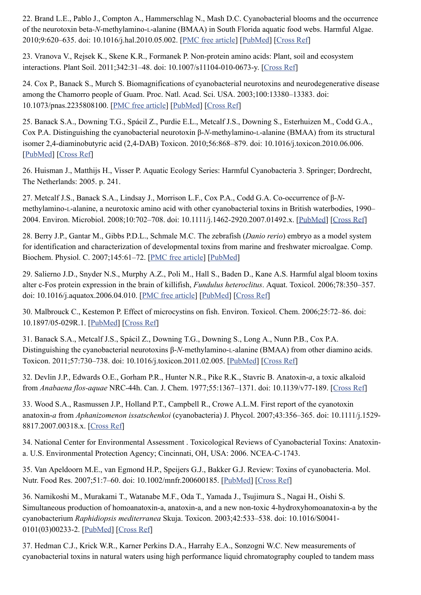22. Brand L.E., Pablo J., Compton A., Hammerschlag N., Mash D.C. Cyanobacterial blooms and the occurrence of the neurotoxin beta*-N*-methylamino-L-alanine (BMAA) in South Florida aquatic food webs. Harmful Algae. 2010;9:620–635. doi: 10.1016/j.hal.2010.05.002. [\[PMC free article\]](http://www.ncbi.nlm.nih.gov/pmc/articles/PMC2968748/) [\[PubMed\]](http://www.ncbi.nlm.nih.gov/pubmed/21057660) [\[Cross Ref\]](http://dx.doi.org/10.1016%2Fj.hal.2010.05.002)

23. Vranova V., Rejsek K., Skene K.R., Formanek P. Non-protein amino acids: Plant, soil and ecosystem interactions. Plant Soil. 2011;342:31–48. doi: 10.1007/s11104-010-0673-y. [\[Cross Ref\]](http://dx.doi.org/10.1007%2Fs11104-010-0673-y)

24. Cox P., Banack S., Murch S. Biomagnifications of cyanobacterial neurotoxins and neurodegenerative disease among the Chamorro people of Guam. Proc. Natl. Acad. Sci. USA. 2003;100:13380–13383. doi: 10.1073/pnas.2235808100. [[PMC free article\]](http://www.ncbi.nlm.nih.gov/pmc/articles/PMC263822/) [[PubMed\]](http://www.ncbi.nlm.nih.gov/pubmed/14612559) [[Cross Ref](http://dx.doi.org/10.1073%2Fpnas.2235808100)]

25. Banack S.A., Downing T.G., Spácil Z., Purdie E.L., Metcalf J.S., Downing S., Esterhuizen M., Codd G.A., Cox P.A. Distinguishing the cyanobacterial neurotoxin β-*N*-methylamino-L-alanine (BMAA) from its structural isomer 2,4-diaminobutyric acid (2,4-DAB) Toxicon. 2010;56:868–879. doi: 10.1016/j.toxicon.2010.06.006. [\[PubMed\]](http://www.ncbi.nlm.nih.gov/pubmed/20561540) [[Cross Ref](http://dx.doi.org/10.1016%2Fj.toxicon.2010.06.006)]

26. Huisman J., Matthijs H., Visser P. Aquatic Ecology Series: Harmful Cyanobacteria 3. Springer; Dordrecht, The Netherlands: 2005. p. 241.

27. Metcalf J.S., Banack S.A., Lindsay J., Morrison L.F., Cox P.A., Codd G.A. Co-occurrence of β-*N*methylamino-L-alanine, a neurotoxic amino acid with other cyanobacterial toxins in British waterbodies, 1990– 2004. Environ. Microbiol. 2008;10:702–708. doi: 10.1111/j.1462-2920.2007.01492.x. [[PubMed\]](http://www.ncbi.nlm.nih.gov/pubmed/18237305) [\[Cross Ref\]](http://dx.doi.org/10.1111%2Fj.1462-2920.2007.01492.x)

28. Berry J.P., Gantar M., Gibbs P.D.L., Schmale M.C. The zebrafish (*Danio rerio*) embryo as a model system for identification and characterization of developmental toxins from marine and freshwater microalgae. Comp. Biochem. Physiol. C. 2007;145:61–72. [\[PMC free article\]](http://www.ncbi.nlm.nih.gov/pmc/articles/PMC2573033/) [\[PubMed\]](http://www.ncbi.nlm.nih.gov/pubmed/17020820)

29. Salierno J.D., Snyder N.S., Murphy A.Z., Poli M., Hall S., Baden D., Kane A.S. Harmful algal bloom toxins alter c-Fos protein expression in the brain of killifish, *Fundulus heteroclitus*. Aquat. Toxicol. 2006;78:350–357. doi: 10.1016/j.aquatox.2006.04.010. [\[PMC free article\]](http://www.ncbi.nlm.nih.gov/pmc/articles/PMC2659846/) [[PubMed\]](http://www.ncbi.nlm.nih.gov/pubmed/16750577) [\[Cross Ref\]](http://dx.doi.org/10.1016%2Fj.aquatox.2006.04.010)

30. Malbrouck C., Kestemon P. Effect of microcystins on fish. Environ. Toxicol. Chem. 2006;25:72–86. doi: 10.1897/05-029R.1. [\[PubMed](http://www.ncbi.nlm.nih.gov/pubmed/16494227)] [\[Cross Ref\]](http://dx.doi.org/10.1897%2F05-029R.1)

31. Banack S.A., Metcalf J.S., Spácil Z., Downing T.G., Downing S., Long A., Nunn P.B., Cox P.A. Distinguishing the cyanobacterial neurotoxins β-*N*-methylamino-L-alanine (BMAA) from other diamino acids. Toxicon. 2011;57:730–738. doi: 10.1016/j.toxicon.2011.02.005. [[PubMed\]](http://www.ncbi.nlm.nih.gov/pubmed/21329717) [\[Cross Ref\]](http://dx.doi.org/10.1016%2Fj.toxicon.2011.02.005)

32. Devlin J.P., Edwards O.E., Gorham P.R., Hunter N.R., Pike R.K., Stavric B. Anatoxin-*a*, a toxic alkaloid from *Anabaena flos-aquae* NRC-44h. Can. J. Chem. 1977;55:1367–1371. doi: 10.1139/v77-189. [\[Cross Ref\]](http://dx.doi.org/10.1139%2Fv77-189)

33. Wood S.A., Rasmussen J.P., Holland P.T., Campbell R., Crowe A.L.M. First report of the cyanotoxin anatoxin-*a* from *Aphanizomenon issatschenkoi* (cyanobacteria) J. Phycol. 2007;43:356–365. doi: 10.1111/j.1529- 8817.2007.00318.x. [[Cross Ref\]](http://dx.doi.org/10.1111%2Fj.1529-8817.2007.00318.x)

34. National Center for Environmental Assessment . Toxicological Reviews of Cyanobacterial Toxins: Anatoxina. U.S. Environmental Protection Agency; Cincinnati, OH, USA: 2006. NCEA-C-1743.

35. Van Apeldoorn M.E., van Egmond H.P., Speijers G.J., Bakker G.J. Review: Toxins of cyanobacteria. Mol. Nutr. Food Res. 2007;51:7–60. doi: 10.1002/mnfr.200600185. [[PubMed\]](http://www.ncbi.nlm.nih.gov/pubmed/17195276) [[Cross Ref](http://dx.doi.org/10.1002%2Fmnfr.200600185)]

36. Namikoshi M., Murakami T., Watanabe M.F., Oda T., Yamada J., Tsujimura S., Nagai H., Oishi S. Simultaneous production of homoanatoxin-a, anatoxin-a, and a new non-toxic 4-hydroxyhomoanatoxin-a by the cyanobacterium *Raphidiopsis mediterranea* Skuja. Toxicon. 2003;42:533–538. doi: 10.1016/S0041- 0101(03)00233-2. [\[PubMed\]](http://www.ncbi.nlm.nih.gov/pubmed/14529735) [[Cross Ref](http://dx.doi.org/10.1016%2FS0041-0101(03)00233-2)]

37. Hedman C.J., Krick W.R., Karner Perkins D.A., Harrahy E.A., Sonzogni W.C. New measurements of cyanobacterial toxins in natural waters using high performance liquid chromatography coupled to tandem mass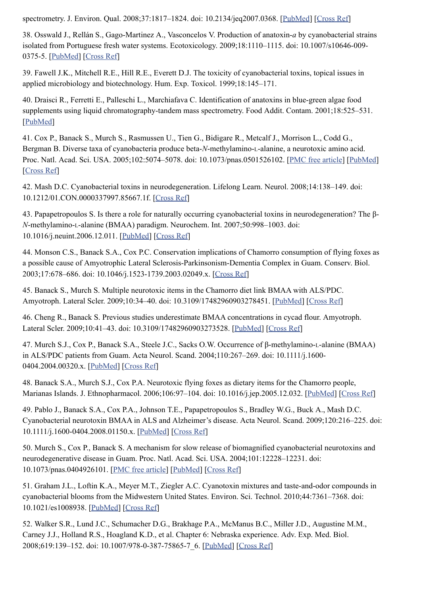spectrometry. J. Environ. Qual. 2008;37:1817-1824. doi: 10.2134/jeq2007.0368. [\[PubMed\]](http://www.ncbi.nlm.nih.gov/pubmed/18689743) [\[Cross Ref\]](http://dx.doi.org/10.2134%2Fjeq2007.0368)

38. Osswald J., Rellán S., Gago-Martinez A., Vasconcelos V. Production of anatoxin-*a* by cyanobacterial strains isolated from Portuguese fresh water systems. Ecotoxicology. 2009;18:1110–1115. doi: 10.1007/s10646-009- 0375-5. [[PubMed\]](http://www.ncbi.nlm.nih.gov/pubmed/19618268) [\[Cross Ref\]](http://dx.doi.org/10.1007%2Fs10646-009-0375-5)

39. Fawell J.K., Mitchell R.E., Hill R.E., Everett D.J. The toxicity of cyanobacterial toxins, topical issues in applied microbiology and biotechnology. Hum. Exp. Toxicol. 1999;18:145–171.

40. Draisci R., Ferretti E., Palleschi L., Marchiafava C. Identification of anatoxins in blue-green algae food supplements using liquid chromatography-tandem mass spectrometry. Food Addit. Contam. 2001;18:525–531. [\[PubMed\]](http://www.ncbi.nlm.nih.gov/pubmed/11407751)

41. Cox P., Banack S., Murch S., Rasmussen U., Tien G., Bidigare R., Metcalf J., Morrison L., Codd G., Bergman B. Diverse taxa of cyanobacteria produce beta-*N*-methylamino-L-alanine, a neurotoxic amino acid. Proc. Natl. Acad. Sci. USA. 2005;102:5074–5078. doi: 10.1073/pnas.0501526102. [\[PMC free article](http://www.ncbi.nlm.nih.gov/pmc/articles/PMC555964/)] [\[PubMed\]](http://www.ncbi.nlm.nih.gov/pubmed/15809446) [\[Cross Ref](http://dx.doi.org/10.1073%2Fpnas.0501526102)]

42. Mash D.C. Cyanobacterial toxins in neurodegeneration. Lifelong Learn. Neurol. 2008;14:138–149. doi: 10.1212/01.CON.0000337997.85667.1f. [\[Cross Ref\]](http://dx.doi.org/10.1212%2F01.CON.0000337997.85667.1f)

43. Papapetropoulos S. Is there a role for naturally occurring cyanobacterial toxins in neurodegeneration? The β-*N*-methylamino-L-alanine (BMAA) paradigm. Neurochem. Int. 2007;50:998–1003. doi: 10.1016/j.neuint.2006.12.011. [[PubMed\]](http://www.ncbi.nlm.nih.gov/pubmed/17296249) [\[Cross Ref\]](http://dx.doi.org/10.1016%2Fj.neuint.2006.12.011)

44. Monson C.S., Banack S.A., Cox P.C. Conservation implications of Chamorro consumption of flying foxes as a possible cause of Amyotrophic Lateral Sclerosis-Parkinsonism-Dementia Complex in Guam. Conserv. Biol. 2003;17:678–686. doi: 10.1046/j.1523-1739.2003.02049.x. [\[Cross Ref\]](http://dx.doi.org/10.1046%2Fj.1523-1739.2003.02049.x)

45. Banack S., Murch S. Multiple neurotoxic items in the Chamorro diet link BMAA with ALS/PDC. Amyotroph. Lateral Scler. 2009;10:34–40. doi: 10.3109/17482960903278451. [[PubMed\]](http://www.ncbi.nlm.nih.gov/pubmed/19929729) [\[Cross Ref\]](http://dx.doi.org/10.3109%2F17482960903278451)

46. Cheng R., Banack S. Previous studies underestimate BMAA concentrations in cycad flour. Amyotroph. Lateral Scler. 2009;10:41–43. doi: 10.3109/17482960903273528. [\[PubMed\]](http://www.ncbi.nlm.nih.gov/pubmed/19929730) [\[Cross Ref\]](http://dx.doi.org/10.3109%2F17482960903273528)

47. Murch S.J., Cox P., Banack S.A., Steele J.C., Sacks O.W. Occurrence of β-methylamino-L-alanine (BMAA) in ALS/PDC patients from Guam. Acta Neurol. Scand. 2004;110:267–269. doi: 10.1111/j.1600- 0404.2004.00320.x. [[PubMed\]](http://www.ncbi.nlm.nih.gov/pubmed/15355492) [\[Cross Ref\]](http://dx.doi.org/10.1111%2Fj.1600-0404.2004.00320.x)

48. Banack S.A., Murch S.J., Cox P.A. Neurotoxic flying foxes as dietary items for the Chamorro people, Marianas Islands. J. Ethnopharmacol. 2006;106:97–104. doi: 10.1016/j.jep.2005.12.032. [[PubMed\]](http://www.ncbi.nlm.nih.gov/pubmed/16457975) [\[Cross Ref\]](http://dx.doi.org/10.1016%2Fj.jep.2005.12.032)

49. Pablo J., Banack S.A., Cox P.A., Johnson T.E., Papapetropoulos S., Bradley W.G., Buck A., Mash D.C. Cyanobacterial neurotoxin BMAA in ALS and Alzheimer's disease. Acta Neurol. Scand. 2009;120:216–225. doi: 10.1111/j.1600-0404.2008.01150.x. [[PubMed\]](http://www.ncbi.nlm.nih.gov/pubmed/19254284) [[Cross Ref\]](http://dx.doi.org/10.1111%2Fj.1600-0404.2008.01150.x)

50. Murch S., Cox P., Banack S. A mechanism for slow release of biomagnified cyanobacterial neurotoxins and neurodegenerative disease in Guam. Proc. Natl. Acad. Sci. USA. 2004;101:12228–12231. doi: 10.1073/pnas.0404926101. [[PMC free article\]](http://www.ncbi.nlm.nih.gov/pmc/articles/PMC514403/) [[PubMed\]](http://www.ncbi.nlm.nih.gov/pubmed/15295100) [[Cross Ref](http://dx.doi.org/10.1073%2Fpnas.0404926101)]

51. Graham J.L., Loftin K.A., Meyer M.T., Ziegler A.C. Cyanotoxin mixtures and taste-and-odor compounds in cyanobacterial blooms from the Midwestern United States. Environ. Sci. Technol. 2010;44:7361–7368. doi: 10.1021/es1008938. [\[PubMed\]](http://www.ncbi.nlm.nih.gov/pubmed/20831209) [\[Cross Ref\]](http://dx.doi.org/10.1021%2Fes1008938)

52. Walker S.R., Lund J.C., Schumacher D.G., Brakhage P.A., McManus B.C., Miller J.D., Augustine M.M., Carney J.J., Holland R.S., Hoagland K.D., et al. Chapter 6: Nebraska experience. Adv. Exp. Med. Biol. 2008;619:139-152. doi: 10.1007/978-0-387-75865-7 6. [\[PubMed\]](http://www.ncbi.nlm.nih.gov/pubmed/18461768) [\[Cross Ref\]](http://dx.doi.org/10.1007%2F978-0-387-75865-7_6)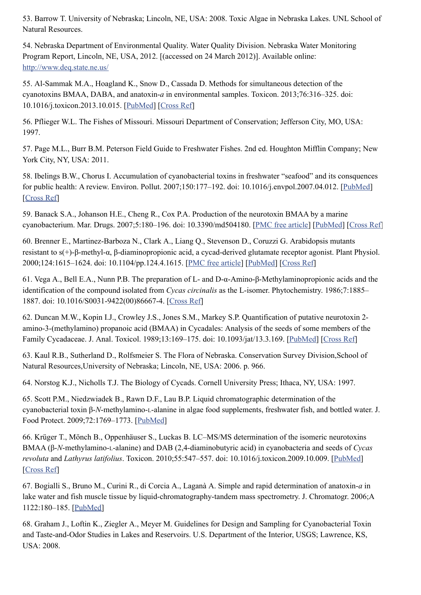53. Barrow T. University of Nebraska; Lincoln, NE, USA: 2008. Toxic Algae in Nebraska Lakes. UNL School of Natural Resources.

54. Nebraska Department of Environmental Quality. Water Quality Division. Nebraska Water Monitoring Program Report, Lincoln, NE, USA, 2012. [(accessed on 24 March 2012)]. Available online: <http://www.deq.state.ne.us/>

55. Al-Sammak M.A., Hoagland K., Snow D., Cassada D. Methods for simultaneous detection of the cyanotoxins BMAA, DABA, and anatoxin-*a* in environmental samples. Toxicon. 2013;76:316–325. doi: 10.1016/j.toxicon.2013.10.015. [[PubMed\]](http://www.ncbi.nlm.nih.gov/pubmed/24140919) [\[Cross Ref\]](http://dx.doi.org/10.1016%2Fj.toxicon.2013.10.015)

56. Pflieger W.L. The Fishes of Missouri. Missouri Department of Conservation; Jefferson City, MO, USA: 1997.

57. Page M.L., Burr B.M. Peterson Field Guide to Freshwater Fishes. 2nd ed. Houghton Mifflin Company; New York City, NY, USA: 2011.

58. Ibelings B.W., Chorus I. Accumulation of cyanobacterial toxins in freshwater "seafood" and its consquences for public health: A review. Environ. Pollut. 2007;150:177–192. doi: 10.1016/j.envpol.2007.04.012. [\[PubMed](http://www.ncbi.nlm.nih.gov/pubmed/17689845)] [\[Cross Ref](http://dx.doi.org/10.1016%2Fj.envpol.2007.04.012)]

59. Banack S.A., Johanson H.E., Cheng R., Cox P.A. Production of the neurotoxin BMAA by a marine cyanobacterium. Mar. Drugs. 2007;5:180–196. doi: 10.3390/md504180. [\[PMC free article\]](http://www.ncbi.nlm.nih.gov/pmc/articles/PMC2365698/) [\[PubMed\]](http://www.ncbi.nlm.nih.gov/pubmed/18463731) [\[Cross Ref\]](http://dx.doi.org/10.3390%2Fmd504180)

60. Brenner E., Martinez-Barboza N., Clark A., Liang Q., Stevenson D., Coruzzi G. Arabidopsis mutants resistant to s(+)-β-methyl-α, β-diaminopropionic acid, a cycad-derived glutamate receptor agonist. Plant Physiol. 2000;124:1615–1624. doi: 10.1104/pp.124.4.1615. [\[PMC free article\]](http://www.ncbi.nlm.nih.gov/pmc/articles/PMC59860/) [[PubMed\]](http://www.ncbi.nlm.nih.gov/pubmed/11115879) [\[Cross Ref\]](http://dx.doi.org/10.1104%2Fpp.124.4.1615)

61. Vega A., Bell E.A., Nunn P.B. The preparation of L- and D-α-Amino-β-Methylaminopropionic acids and the identification of the compound isolated from *Cycas circinalis* as the L-isomer. Phytochemistry. 1986;7:1885– 1887. doi: 10.1016/S0031-9422(00)86667-4. [\[Cross Ref\]](http://dx.doi.org/10.1016%2FS0031-9422(00)86667-4)

62. Duncan M.W., Kopin I.J., Crowley J.S., Jones S.M., Markey S.P. Quantification of putative neurotoxin 2 amino-3-(methylamino) propanoic acid (BMAA) in Cycadales: Analysis of the seeds of some members of the Family Cycadaceae. J. Anal. Toxicol. 1989;13:169–175. doi: 10.1093/jat/13.3.169. [\[PubMed](http://www.ncbi.nlm.nih.gov/pubmed/2490746)] [\[Cross Ref\]](http://dx.doi.org/10.1093%2Fjat%2F13.3.169)

63. Kaul R.B., Sutherland D., Rolfsmeier S. The Flora of Nebraska. Conservation Survey Division,School of Natural Resources,University of Nebraska; Lincoln, NE, USA: 2006. p. 966.

64. Norstog K.J., Nicholls T.J. The Biology of Cycads. Cornell University Press; Ithaca, NY, USA: 1997.

65. Scott P.M., Niedzwiadek B., Rawn D.F., Lau B.P. Liquid chromatographic determination of the cyanobacterial toxin β-*N*-methylamino-L-alanine in algae food supplements, freshwater fish, and bottled water. J. Food Protect. 2009;72:1769–1773. [\[PubMed\]](http://www.ncbi.nlm.nih.gov/pubmed/19722418)

66. Krüger T., Mönch B., Oppenhäuser S., Luckas B. LC–MS/MS determination of the isomeric neurotoxins BMAA (β-*N*-methylamino-L-alanine) and DAB (2,4-diaminobutyric acid) in cyanobacteria and seeds of *Cycas revoluta* and *Lathyrus latifolius*. Toxicon. 2010;55:547–557. doi: 10.1016/j.toxicon.2009.10.009. [\[PubMed\]](http://www.ncbi.nlm.nih.gov/pubmed/19825383) [\[Cross Ref](http://dx.doi.org/10.1016%2Fj.toxicon.2009.10.009)]

67. Bogialli S., Bruno M., Curini R., di Corcia A., Laganà A. Simple and rapid determination of anatoxin-*a* in lake water and fish muscle tissue by liquid-chromatography-tandem mass spectrometry. J. Chromatogr. 2006;A 1122:180–185. [\[PubMed\]](http://www.ncbi.nlm.nih.gov/pubmed/16697388)

68. Graham J., Loftin K., Ziegler A., Meyer M. Guidelines for Design and Sampling for Cyanobacterial Toxin and Taste-and-Odor Studies in Lakes and Reservoirs. U.S. Department of the Interior, USGS; Lawrence, KS, USA: 2008.